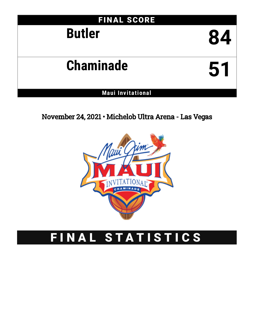

November 24, 2021 • Michelob Ultra Arena - Las Vegas



# FINAL STATISTICS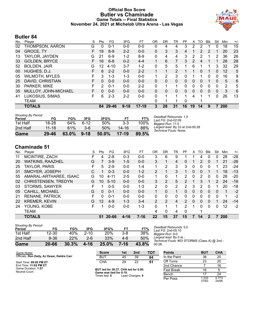### **Official Box Score Butler vs Chaminade Game Totals -- Final Statistics November 24, 2021 at Michelob Ultra Arena - Las Vegas**



### **Butler 84**

| No. | Player                | S  | <b>Pts</b> | FG        | 3FG      | FT        | OR       | DR       | TR             | PF | A  | TO       | <b>B</b> lk | Stl          | Min            | $+/-$ |
|-----|-----------------------|----|------------|-----------|----------|-----------|----------|----------|----------------|----|----|----------|-------------|--------------|----------------|-------|
| 02  | THOMPSON, AARON       | G  | 0          | 0-1       | $0 - 0$  | $0 - 0$   | 0        | 4        | 4              | 3  | 2  | 2        |             | 0            | 18             | 15    |
| 04  | <b>GROCE, TY</b>      | F. | 18         | $8-9$     | $2 - 2$  | $0 - 0$   | 0        | 3        | 3              | 4  |    | 2        | 2           |              | 20             | 23    |
| 13  | TAYLOR, JAYDEN        | G  | 21         | $6-9$     | $1 - 2$  | $8-9$     | 0        | 4        | 4              | 3  | 2  | 2        |             | 2            | 36             | 26    |
| 33  | <b>GOLDEN, BRYCE</b>  | F. | 16         | $6 - 8$   | $0 - 2$  | $4 - 4$   |          | 6        | 7              | 3  | 2  | 4        |             |              | 28             | 28    |
| 52  | <b>BOLDEN, JAIR</b>   | G  | 12         | $4 - 10$  | $3 - 7$  | $1 - 2$   | 0        | 5        | 5              | 1  | 6  |          | 1           | 3            | 32             | 29    |
| 00  | HUGHES, D.J.          |    | 6          | $2 - 2$   | $0 - 0$  | $2 - 2$   |          | 1        | $\overline{2}$ |    |    | 0        |             | 0            | 12             | 5     |
| 05  | <b>WILMOTH, MYLES</b> | F  | 3          | $1 - 3$   | 1-3      | $0 - 0$   |          | 2        | 3              | 0  |    |          | 0           | 0            | 16             | 9     |
| 25  | DAVID, CHRISTIAN      | F. | $\Omega$   | $0 - 0$   | $0 - 0$  | $0 - 0$   | $\Omega$ | 0        | $\Omega$       | 0  | 0  | $\Omega$ |             | $\Omega$     | 5              | 6     |
| 30  | PARKER, MIKE          |    | 2          | $0 - 1$   | $0 - 0$  | $2 - 2$   | 0        | 1        |                | 0  | 0  | 0        | $\Omega$    | 0            | $\overline{2}$ | 5     |
| 35  | MULLOY, JOHN-MICHAEL  | F  | $\Omega$   | $0 - 0$   | $0 - 0$  | $0 - 0$   | 0        | $\Omega$ | $\mathbf{0}$   | 0  | 0  | $\Omega$ | $\Omega$    | $\mathbf{0}$ | 3              | 6     |
| 41  | LUKOSIUS, SIMAS       | F  | 6          | $2 - 3$   | $2 - 2$  | $0 - 0$   | 0        | 1        |                | 1  | 4  |          |             | $\Omega$     | 26             | 13    |
|     | TEAM                  |    |            |           |          |           | 0        | 1        |                | 0  |    |          |             |              |                |       |
|     | <b>TOTALS</b>         |    | 84         | $29 - 46$ | $9 - 18$ | $17 - 19$ | 3        | 28       | 31             | 16 | 19 | 14       | 9           |              | 200            |       |

| Game                                | $29 - 46$ | $63.0\%$ | $9 - 18$ | 50.0% | $17-19$   | 89.5% |                                                            |
|-------------------------------------|-----------|----------|----------|-------|-----------|-------|------------------------------------------------------------|
| 2nd Half                            | $11 - 18$ | 61%      | $3-6$    | 50%   | $14 - 16$ | 88%   | Largest lead: By 33 at 2nd-00:28<br>Technical Fouls: None. |
| 1st Half                            | 18-28     | 64%      | հ-12     | 50%   | $3 - 3$   | 100%  | Biggest Run: 11-0                                          |
| <b>Shooting By Period</b><br>Period | FG        | FG%      | 3FG      | 3FG%  | FТ        | FT%   | Deadball Rebounds: 1,0<br>Last FG: 2nd-02:09               |

# **Chaminade 51**

| No. | Plaver                  | S | Pts | FG       | 3FG      | FТ       | OR             | DR            | TR       | PF            | A        | TO | <b>B</b> lk | Stl           | Min | $+/-$ |
|-----|-------------------------|---|-----|----------|----------|----------|----------------|---------------|----------|---------------|----------|----|-------------|---------------|-----|-------|
| 11  | MCINTIRE, ZACH          |   | 4   | $2 - 8$  | $0 - 3$  | $0 - 0$  | 3              | 6             | 9        |               |          | 4  | 0           | $\Omega$      | 28  | $-28$ |
| 20  | <b>WATKINS, RAAZHEL</b> | G |     | $3-9$    | $1 - 5$  | $0 - 0$  | 3              |               | 4        | 0             |          | 2  | $\Omega$    |               | 21  | $-26$ |
| 25  | TAYLOR, PARIS           | F | 5.  | $2-9$    | $0 - 0$  | $1 - 4$  | 1              | $\mathcal{P}$ | 3        | 3             | 0        | 0  | 0           |               | 23  | $-24$ |
| 31  | SMOYER, JOSEPH          | С |     | $0 - 3$  | $0 - 0$  | $1 - 2$  | $\overline{2}$ |               | 3        |               | 0        | 0  |             |               | 18  | $-13$ |
| 55  | AMARAL-ARTHAREE, ISAAC  | G | 10  | $4 - 11$ | $2 - 5$  | $0 - 0$  | 1              | 0             |          | 2             | 0        | 2  | 0           | 0             | 28  | $-20$ |
| 02  | CHRISTENSEN, TREDYN     | G | 10  | $5 - 10$ | $0 - 0$  | $0 - 0$  | 3              | $\mathcal{P}$ | 5        | $\mathcal{P}$ |          | 3  |             | $\mathcal{P}$ | 24  | $-16$ |
| 03  | STORMS, SAWYER          | F |     | $0 - 5$  | $0 - 0$  | $1 - 3$  | 2              | 0             | 2        |               | 3        | 2  | 0           |               | 20  | $-18$ |
| 05  | CAHILL, MICHAEL         | G | 0   | $0 - 1$  | $0 - 0$  | $0 - 0$  | 1              | 0             | 1        | 0             | $\Omega$ | 0  | $\Omega$    | 0             |     | $-2$  |
| 21  | <b>RENANE, PATRICK</b>  | F | U   | $0 - 1$  | $0 - 0$  | $0 - 0$  | 0              | 0             | $\Omega$ | 0             | 0        | 0  | $\Omega$    | 0             |     | $-2$  |
| 22  | <b>KREMER, KEVIN</b>    | G | 12  | $4-9$    | $1 - 3$  | $3 - 4$  | 2              | 2             | 4        | 2             | 0        | 0  | 0           |               | 24  | $-14$ |
| 24  | YOUNG, KOBE             | F |     | $0 - 0$  | $0-0$    | $1 - 3$  | 0              |               |          | 2             | 1        | 0  | $\Omega$    | 0             | 12  | $-2$  |
|     | <b>TEAM</b>             |   |     |          |          |          | 4              | 0             | 4        | $\Omega$      |          |    |             |               |     |       |
|     | <b>TOTALS</b>           |   | 51  | 20-66    | $4 - 16$ | $7 - 16$ | 22             | 15            | 37       | 15            |          | 14 | 2           |               | 200 |       |

| Game                                | 20-66     | 30.3% | 4-16     | 25.0% | 7-16 | 43.8% | 00       |
|-------------------------------------|-----------|-------|----------|-------|------|-------|----------|
| 2nd Half                            | $8 - 36$  | 22%   | $2 - 6$  | 33%   | 4-8  | 50%   | Lε<br>Tc |
| 1st Half                            | $12 - 30$ | 40%   | $2 - 10$ | 20%   | 3-8  | 38%   | Bi       |
| <b>Shooting By Period</b><br>Period | FG        | FG%   | 3FG      | 3FG%  | FТ   | FT%   | D٥<br>Lε |

*Deadball Rebounds:* 5,0 *Last FG:* 2nd-05:10 *Biggest Run:* 9-0 *Largest lead:* By 0 at - *Technical Fouls:* #03 STORMS (Class A) @ 2nd - 00:28;

| Game Notes:                                 | <b>Score</b>                                    | 1st | 2 <sub>nd</sub> | тот               | <b>Points</b> | <b>BUT</b>     | <b>CHA</b>     |
|---------------------------------------------|-------------------------------------------------|-----|-----------------|-------------------|---------------|----------------|----------------|
| Officials: Don Daily, AJ Desai, Deldre Carr | <b>BUT</b>                                      | 45  | 39              | 84                | In the Paint  | 38             | 20             |
| Start Time: 09:05 PM ET                     | <b>CHA</b>                                      | 29  | 22              | 51                | Off Turns     | 23             | 20             |
| End Time: 11:02 PM ET                       |                                                 |     |                 |                   | 2nd Chance    |                | 16             |
| Game Duration: 1:57<br>Neutral Court:       | BUT led for 39:37, CHA led for 0:00.            |     |                 | <b>Fast Break</b> | 16            |                |                |
|                                             | Game was tied for 0:19.<br>Times tied: <b>0</b> |     | Lead Changes: 0 |                   | Bench         |                | 24             |
|                                             |                                                 |     |                 |                   | Per Poss      | 1.333<br>37/63 | 0.773<br>24/66 |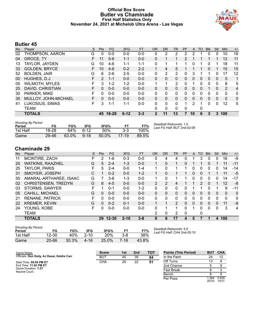#### **Official Box Score Butler vs Chaminade First Half Statistics Only November 24, 2021 at Michelob Ultra Arena - Las Vegas**



# **Butler 45**

| No. | Player                | S  | <b>Pts</b> | <b>FG</b> | 3FG      | <b>FT</b> | <b>OR</b>    | <b>DR</b> | TR           | PF       | A        | T <sub>O</sub> | <b>Blk</b>   | Stl      | Min | $+/-$          |
|-----|-----------------------|----|------------|-----------|----------|-----------|--------------|-----------|--------------|----------|----------|----------------|--------------|----------|-----|----------------|
| 02  | THOMPSON, AARON       | G  | 0          | $0-0$     | $0-0$    | $0-0$     | 0            | 2         | 2            |          | 2        |                | 0            | 0        | 10  | 16             |
| 04  | <b>GROCE, TY</b>      | F  | 11         | $5-6$     | $1 - 1$  | $0 - 0$   | 0            |           |              | 2        | 1        |                |              |          | 12  | 11             |
| 13  | TAYLOR, JAYDEN        | G  | 10         | $4-6$     | 1-1      | $1 - 1$   | 0            |           |              |          | 0        |                | 0            |          | 18  | 11             |
| 33  | <b>GOLDEN, BRYCE</b>  | F. | 10         | $4-6$     | $0 - 2$  | $2 - 2$   |              | 4         | 5            |          |          |                | 0            |          | 15  | 15             |
| 52  | <b>BOLDEN, JAIR</b>   | G  | 6          | $2-6$     | $2 - 5$  | $0 - 0$   | 0            | 2         | 2            | 0        | 3        |                |              | 0        | 17  | 12             |
| 00  | HUGHES, D.J.          | F  | 2          | $1 - 1$   | $0 - 0$  | $0 - 0$   | 0            | 0         | $\Omega$     | 0        | 0        | 0              | $\mathbf{0}$ | $\Omega$ | 5   | 1              |
| 05  | <b>WILMOTH, MYLES</b> | F  | 3          | $1 - 2$   | $1 - 2$  | $0-0$     | 1            |           | 2            | 0        | 1        | 0              | 0            | 0        | 8   | 5              |
| 25  | DAVID, CHRISTIAN      | F. | 0          | $0 - 0$   | $0 - 0$  | $0 - 0$   | 0            | 0         | $\Omega$     | $\Omega$ | 0        | 0              |              | 0        | 2   | $\overline{4}$ |
| 30  | PARKER, MIKE          | F  | $\Omega$   | $0 - 0$   | $0 - 0$  | $0 - 0$   | 0            | 0         | $\mathbf{0}$ | 0        | 0        | 0              | 0            | 0        | 0   | $\mathbf{0}$   |
| 35  | MULLOY, JOHN-MICHAEL  | F  | 0          | $0 - 0$   | $0 - 0$  | $0 - 0$   | 0            | $\Omega$  | $\mathbf{0}$ | 0        | $\Omega$ | 0              | $\Omega$     | $\Omega$ | 0   | 0              |
| 41  | LUKOSIUS, SIMAS       | F  | 3          | $1 - 1$   | 1-1      | $0 - 0$   | 0            | 0         | $\Omega$     |          | 2        |                | 0            | 0        | 12  | 5              |
|     | <b>TEAM</b>           |    |            |           |          |           | 0            | 0         | 0            | $\Omega$ |          | 0              |              |          |     |                |
|     | <b>TOTALS</b>         |    | 45         | $18 - 28$ | $6 - 12$ | $3 - 3$   | $\mathbf{2}$ | 11        | 13           | 7        | 10       | 6              | 3            | 3        | 100 |                |

| <b>Shooting By Period</b><br>Period | FG        | FG%   | 3FG      | 3FG%     | F1      | FT%   | Deadball Rebounds: 1,0<br>Last FG Half: BUT 2nd-02:09 |
|-------------------------------------|-----------|-------|----------|----------|---------|-------|-------------------------------------------------------|
| 1st Half                            | 18-28     | 64%   | ٬6-12    | 50%      | $3-3$   | 100%  |                                                       |
| Game                                | $29 - 46$ | 63.0% | $9 - 18$ | $50.0\%$ | $17-19$ | 89.5% |                                                       |

# **Chaminade 29**

| No. | Plaver                  | S | <b>Pts</b> | <b>FG</b> | 3FG      | <b>FT</b> | <b>OR</b>      | <b>DR</b>      | <b>TR</b>     | PF       | A | TO       | <b>B</b> lk | Stl | Min          | $+/-$ |
|-----|-------------------------|---|------------|-----------|----------|-----------|----------------|----------------|---------------|----------|---|----------|-------------|-----|--------------|-------|
| 11  | MCINTIRE, ZACH          | F | 2          | 1-6       | $0 - 3$  | $0-0$     | 0              | 4              | 4             |          |   | 3        | 0           | 0   | 16           | -9    |
| 20  | <b>WATKINS, RAAZHEL</b> | G | 5          | $2 - 4$   | $1 - 3$  | $0 - 0$   |                | 0              | 1             | 0        |   |          | 0           |     | 11           | $-11$ |
| 25  | TAYLOR, PARIS           |   | 5          | $2 - 4$   | $0 - 0$  | $1 - 4$   |                | 0              |               |          | 0 | 0        | 0           | 0   | 14           | $-14$ |
| 31  | SMOYER, JOSEPH          | С |            | $0 - 2$   | $0 - 0$  | $1 - 2$   |                | 0              |               |          | 0 | $\Omega$ |             |     | 11           | -5    |
| 55  | AMARAL-ARTHAREE, ISAAC  | G |            | 3-6       | $1 - 3$  | $0 - 0$   |                | 0              |               |          | 0 | 0        | 0           | 0   | 14           | -17   |
| 02  | CHRISTENSEN, TREDYN     | G | 8          | $4 - 5$   | $0 - 0$  | $0 - 0$   | $\overline{2}$ | $\overline{2}$ | 4             |          |   | 2        | $\Omega$    |     | 12           | -8    |
| 03  | STORMS, SAWYER          | F |            | $0 - 1$   | $0 - 0$  | $1 - 2$   | 0              | 0              | 0             | 0        |   |          | 0           | 1   | 9            | -11   |
| 05  | <b>CAHILL, MICHAEL</b>  | G | 0          | $0 - 0$   | $0 - 0$  | $0 - 0$   | 0              | 0              | 0             | 0        | 0 | 0        | 0           | 0   | $\mathbf{0}$ | 0     |
| 21  | <b>RENANE, PATRICK</b>  | F | 0          | $0 - 0$   | $0 - 0$  | $0 - 0$   | 0              | 0              | 0             | 0        | 0 | 0        | 0           | 0   | $\Omega$     | 0     |
| 22  | <b>KREMER, KEVIN</b>    | G | $\Omega$   | $0 - 2$   | $0 - 1$  | $0 - 0$   |                | 1              | $\mathcal{P}$ | $\Omega$ | 0 | $\Omega$ | 0           | 0   | 11           | -9    |
| 24  | YOUNG, KOBE             | F | 0          | $0 - 0$   | $0 - 0$  | $0 - 0$   | 0              | 1              |               | 0        |   | 0        | 0           | 0   | 3            | 4     |
|     | <b>TEAM</b>             |   |            |           |          |           | 2              | 0              | 2             | $\Omega$ |   | 0        |             |     |              |       |
|     | <b>TOTALS</b>           |   |            | 29 12-30  | $2 - 10$ | 3-8       | 9              | 8              | 17            | 4        | 5 |          |             | 4   | 100          |       |
|     |                         |   |            |           |          |           |                |                |               |          |   |          |             |     |              |       |

| <b>Shooting By Period</b><br>Period | FG        | FG%   | 3FG      | 3FG%  | FT      | FT%   |
|-------------------------------------|-----------|-------|----------|-------|---------|-------|
| 1st Half                            | 12-30     | 40%   | $2 - 10$ | 20%   | $3 - 8$ | 38%   |
| Game                                | $20 - 66$ | 30.3% | 4-16     | 25.0% | 7-16    | 43.8% |

*Deadball Rebounds:* 5,0 *Last FG Half:* CHA 2nd-05:10

| Game Notes:                                 | <b>Score</b> | 1st | 2 <sub>nd</sub> | <b>TOT</b> | <b>Points (This Period)</b> | <b>BUT</b>    | <b>CHA</b>     |
|---------------------------------------------|--------------|-----|-----------------|------------|-----------------------------|---------------|----------------|
| Officials: Don Daily, AJ Desai, Deldre Carr | <b>BUT</b>   | 45  | 39              | 84         | In the Paint                | 24            | 12             |
| Start Time: 09:05 PM ET                     | <b>CHA</b>   | 29  | 22              | 51         | Off Turns                   |               |                |
| End Time: 11:02 PM ET                       |              |     |                 |            | 2nd Chance                  |               |                |
| Game Duration: 1:57<br>Neutral Court:       |              |     |                 |            | <b>Fast Break</b>           |               |                |
|                                             |              |     |                 |            | Bench                       |               |                |
|                                             |              |     |                 |            | Per Poss                    | .364<br>20/33 | 0.935<br>14/31 |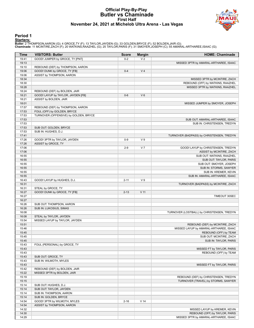#### **Official Play-By-Play Butler vs Chaminade First Half November 24, 2021 at Michelob Ultra Arena - Las Vegas**



### **Period 1**

<mark>Starters:</mark><br>Butler: 2 THOMPSON,AARON (G); 4 GROCE,TY (F); 13 TAYLOR,JAYDEN (G); 33 GOLDEN,BRYCE (F); 52 BOLDEN,JAIR (G);<br>**Chaminade**: 11 MCINTIRE,ZACH (F); 20 WATKINS,RAAZHEL (G); 25 TAYLOR,PARIS (F); 31 SMOYER,JOSEPH (C);

| Time           | <b>VISITORS: Butler</b>               | Score    | <b>Margin</b>  | <b>HOME: Chaminade</b>                                                    |
|----------------|---------------------------------------|----------|----------------|---------------------------------------------------------------------------|
| 19:41          | GOOD! JUMPER by GROCE, TY [PNT]       | $0 - 2$  | V <sub>2</sub> |                                                                           |
| 19:13          |                                       |          |                | MISSED 3PTR by AMARAL-ARTHAREE, ISAAC                                     |
| 19:10          | REBOUND (DEF) by THOMPSON, AARON      |          |                |                                                                           |
| 19:06          | GOOD! DUNK by GROCE, TY [FB]          | $0 - 4$  | V <sub>4</sub> |                                                                           |
| 19:06          | ASSIST by THOMPSON, AARON             |          |                |                                                                           |
| 18:34          |                                       |          |                | MISSED 3PTR by MCINTIRE, ZACH                                             |
| 18:30          |                                       |          |                | REBOUND (OFF) by WATKINS, RAAZHEL                                         |
| 18:28          |                                       |          |                | MISSED 3PTR by WATKINS, RAAZHEL                                           |
| 18:24          | REBOUND (DEF) by BOLDEN, JAIR         |          |                |                                                                           |
| 18:21          | GOOD! LAYUP by TAYLOR, JAYDEN [FB]    | $0-6$    | $V_6$          |                                                                           |
| 18:21          | ASSIST by BOLDEN, JAIR                |          |                |                                                                           |
| 18:01<br>17:57 | REBOUND (DEF) by THOMPSON, AARON      |          |                | MISSED JUMPER by SMOYER, JOSEPH                                           |
| 17:53          | FOUL (OFF) by GOLDEN, BRYCE           |          |                |                                                                           |
| 17:53          | TURNOVER (OFFENSIVE) by GOLDEN, BRYCE |          |                |                                                                           |
| 17:53          |                                       |          |                | SUB OUT: AMARAL-ARTHAREE, ISAAC                                           |
| 17:53          |                                       |          |                | SUB IN: CHRISTENSEN, TREDYN                                               |
| 17:53          | SUB OUT: GOLDEN, BRYCE                |          |                |                                                                           |
| 17:53          | SUB IN: HUGHES, D.J.                  |          |                |                                                                           |
| 17:41          |                                       |          |                | TURNOVER (BADPASS) by CHRISTENSEN, TREDYN                                 |
| 17:26          | GOOD! 3PTR by TAYLOR, JAYDEN          | $0-9$    | V <sub>9</sub> |                                                                           |
| 17:26          | ASSIST by GROCE, TY                   |          |                |                                                                           |
| 17:06          |                                       | $2-9$    | V <sub>7</sub> | GOOD! LAYUP by CHRISTENSEN, TREDYN                                        |
| 17:06          |                                       |          |                | ASSIST by MCINTIRE, ZACH                                                  |
| 16:55          |                                       |          |                | SUB OUT: WATKINS, RAAZHEL                                                 |
| 16:55          |                                       |          |                | SUB OUT: TAYLOR, PARIS                                                    |
| 16:55          |                                       |          |                | SUB OUT: SMOYER, JOSEPH                                                   |
| 16:55          |                                       |          |                | SUB IN: STORMS, SAWYER                                                    |
| 16:55          |                                       |          |                | SUB IN: KREMER, KEVIN                                                     |
| 16:55          |                                       |          |                | SUB IN: AMARAL-ARTHAREE, ISAAC                                            |
| 16:43          | GOOD! LAYUP by HUGHES, D.J.           | $2 - 11$ | V <sub>9</sub> |                                                                           |
| 16:31          |                                       |          |                | TURNOVER (BADPASS) by MCINTIRE, ZACH                                      |
| 16:31          | STEAL by GROCE, TY                    |          |                |                                                                           |
| 16:27          | GOOD! DUNK by GROCE, TY [FB]          | $2 - 13$ | $V$ 11         |                                                                           |
| 16:27          |                                       |          |                | TIMEOUT 30SEC                                                             |
| 16:27          |                                       |          |                |                                                                           |
| 16:26          | SUB OUT: THOMPSON, AARON              |          |                |                                                                           |
| 16:26          | SUB IN: LUKOSIUS, SIMAS               |          |                |                                                                           |
| 16:08          |                                       |          |                | TURNOVER (LOSTBALL) by CHRISTENSEN, TREDYN                                |
| 16:08          | STEAL by TAYLOR, JAYDEN               |          |                |                                                                           |
| 15:54          | MISSED LAYUP by TAYLOR, JAYDEN        |          |                |                                                                           |
| 15:51          |                                       |          |                | REBOUND (DEF) by MCINTIRE, ZACH<br>MISSED LAYUP by AMARAL-ARTHAREE, ISAAC |
| 15:46<br>15:45 |                                       |          |                | REBOUND (OFF) by TEAM                                                     |
| 15:45          |                                       |          |                | SUB OUT: MCINTIRE, ZACH                                                   |
| 15:45          |                                       |          |                | SUB IN: TAYLOR, PARIS                                                     |
| 15:43          | FOUL (PERSONAL) by GROCE, TY          |          |                |                                                                           |
| 15:43          |                                       |          |                | MISSED FT by TAYLOR, PARIS                                                |
| 15:43          |                                       |          |                | REBOUND (OFF) by TEAM                                                     |
| 15:43          | SUB OUT: GROCE, TY                    |          |                |                                                                           |
| 15:43          | SUB IN: WILMOTH, MYLES                |          |                |                                                                           |
| 15:43          |                                       |          |                | MISSED FT by TAYLOR, PARIS                                                |
| 15:42          | REBOUND (DEF) by BOLDEN, JAIR         |          |                |                                                                           |
| 15:22          | MISSED 3PTR by BOLDEN, JAIR           |          |                |                                                                           |
| 15:19          |                                       |          |                | REBOUND (DEF) by CHRISTENSEN, TREDYN                                      |
| 15:15          |                                       |          |                | TURNOVER (TRAVEL) by STORMS, SAWYER                                       |
| 15:14          | SUB OUT: HUGHES, D.J.                 |          |                |                                                                           |
| 15:14          | SUB OUT: TAYLOR, JAYDEN               |          |                |                                                                           |
| 15:14          | SUB IN: THOMPSON, AARON               |          |                |                                                                           |
| 15:14          | SUB IN: GOLDEN, BRYCE                 |          |                |                                                                           |
| 14:54          | GOOD! 3PTR by WILMOTH, MYLES          | $2 - 16$ | $V$ 14         |                                                                           |
| 14:54          | ASSIST by THOMPSON, AARON             |          |                |                                                                           |
| 14:32          |                                       |          |                | MISSED LAYUP by KREMER, KEVIN                                             |
| 14:30          |                                       |          |                | REBOUND (OFF) by TAYLOR, PARIS                                            |
| 14:29          |                                       |          |                | MISSED 3PTR by AMARAL-ARTHAREE, ISAAC                                     |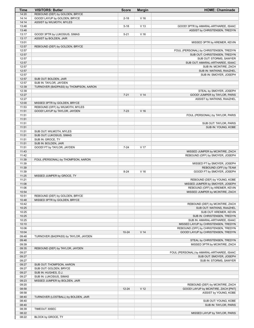| Time           | <b>VISITORS: Butler</b>                                        | <b>Score</b> | <b>Margin</b>   | <b>HOME: Chaminade</b>                    |
|----------------|----------------------------------------------------------------|--------------|-----------------|-------------------------------------------|
| 14:20          | REBOUND (DEF) by GOLDEN, BRYCE                                 |              |                 |                                           |
| 14:14          | GOOD! LAYUP by GOLDEN, BRYCE                                   | $2 - 18$     | V <sub>16</sub> |                                           |
| 14:14          | ASSIST by WILMOTH, MYLES                                       |              |                 |                                           |
| 13:48          |                                                                | $5 - 18$     | V <sub>13</sub> | GOOD! 3PTR by AMARAL-ARTHAREE, ISAAC      |
| 13:48          |                                                                |              |                 | ASSIST by CHRISTENSEN, TREDYN             |
| 13:17          | GOOD! 3PTR by LUKOSIUS, SIMAS                                  | $5 - 21$     | V <sub>16</sub> |                                           |
| 13:17          | ASSIST by BOLDEN, JAIR                                         |              |                 |                                           |
| 13:01          |                                                                |              |                 | MISSED 3PTR by KREMER, KEVIN              |
| 12:57<br>12:57 | REBOUND (DEF) by GOLDEN, BRYCE                                 |              |                 | FOUL (PERSONAL) by CHRISTENSEN, TREDYN    |
| 12:57          |                                                                |              |                 | SUB OUT: CHRISTENSEN, TREDYN              |
| 12:57          |                                                                |              |                 | SUB OUT: STORMS, SAWYER                   |
| 12:57          |                                                                |              |                 | SUB OUT: AMARAL-ARTHAREE, ISAAC           |
| 12:57          |                                                                |              |                 | SUB IN: MCINTIRE, ZACH                    |
| 12:57          |                                                                |              |                 | SUB IN: WATKINS, RAAZHEL                  |
| 12:57          |                                                                |              |                 | SUB IN: SMOYER, JOSEPH                    |
| 12:57          | SUB OUT: BOLDEN, JAIR                                          |              |                 |                                           |
| 12:57          | SUB IN: TAYLOR, JAYDEN                                         |              |                 |                                           |
| 12:39          | TURNOVER (BADPASS) by THOMPSON, AARON                          |              |                 |                                           |
| 12:39          |                                                                |              |                 | STEAL by SMOYER, JOSEPH                   |
| 12:27          |                                                                | $7 - 21$     | V <sub>14</sub> | GOOD! JUMPER by TAYLOR, PARIS             |
| 12:27          |                                                                |              |                 | ASSIST by WATKINS, RAAZHEL                |
| 12:00          | MISSED 3PTR by GOLDEN, BRYCE                                   |              |                 |                                           |
| 11:53          | REBOUND (OFF) by WILMOTH, MYLES                                |              |                 |                                           |
| 11:51          | GOOD! LAYUP by TAYLOR, JAYDEN                                  | $7 - 23$     | V <sub>16</sub> |                                           |
| 11:51          |                                                                |              |                 | FOUL (PERSONAL) by TAYLOR, PARIS          |
| 11:51<br>11:51 |                                                                |              |                 | SUB OUT: TAYLOR, PARIS                    |
| 11:51          |                                                                |              |                 | SUB IN: YOUNG, KOBE                       |
| 11:51          | SUB OUT: WILMOTH, MYLES                                        |              |                 |                                           |
| 11:51          | SUB OUT: LUKOSIUS, SIMAS                                       |              |                 |                                           |
| 11:51          | SUB IN: GROCE, TY                                              |              |                 |                                           |
| 11:51          | SUB IN: BOLDEN, JAIR                                           |              |                 |                                           |
| 11:51          | GOOD! FT by TAYLOR, JAYDEN                                     | $7 - 24$     | V <sub>17</sub> |                                           |
| 11:43          |                                                                |              |                 | MISSED JUMPER by MCINTIRE, ZACH           |
| 11:42          |                                                                |              |                 | REBOUND (OFF) by SMOYER, JOSEPH           |
| 11:39          | FOUL (PERSONAL) by THOMPSON, AARON                             |              |                 |                                           |
| 11:39          |                                                                |              |                 | MISSED FT by SMOYER, JOSEPH               |
| 11:39          |                                                                |              |                 | REBOUND (OFF) by TEAM                     |
| 11:39          |                                                                | $8 - 24$     | V <sub>16</sub> | GOOD! FT by SMOYER, JOSEPH                |
| 11:25          | MISSED JUMPER by GROCE, TY                                     |              |                 |                                           |
| 11:21          |                                                                |              |                 | REBOUND (DEF) by YOUNG, KOBE              |
| 11:08          |                                                                |              |                 | MISSED JUMPER by SMOYER, JOSEPH           |
| 11:06          |                                                                |              |                 | REBOUND (OFF) by KREMER, KEVIN            |
| 10:54          |                                                                |              |                 | MISSED JUMPER by MCINTIRE, ZACH           |
| 10:51<br>10:48 | REBOUND (DEF) by GOLDEN, BRYCE<br>MISSED 3PTR by GOLDEN, BRYCE |              |                 |                                           |
| 10:42          |                                                                |              |                 | REBOUND (DEF) by MCINTIRE, ZACH           |
| 10:25          |                                                                |              |                 | SUB OUT: WATKINS, RAAZHEL                 |
| 10:25          |                                                                |              |                 | SUB OUT: KREMER, KEVIN                    |
| 10:25          |                                                                |              |                 | SUB IN: CHRISTENSEN, TREDYN               |
| 10:25          |                                                                |              |                 | SUB IN: AMARAL-ARTHAREE, ISAAC            |
| 10:10          |                                                                |              |                 | MISSED LAYUP by CHRISTENSEN, TREDYN       |
| 10:06          |                                                                |              |                 | REBOUND (OFF) by CHRISTENSEN, TREDYN      |
| 10:04          |                                                                | $10 - 24$    | V <sub>14</sub> | GOOD! LAYUP by CHRISTENSEN, TREDYN        |
| 09:48          | TURNOVER (BADPASS) by TAYLOR, JAYDEN                           |              |                 |                                           |
| 09:48          |                                                                |              |                 | STEAL by CHRISTENSEN, TREDYN              |
| 09:39          |                                                                |              |                 | MISSED 3PTR by MCINTIRE, ZACH             |
| 09:35          | REBOUND (DEF) by TAYLOR, JAYDEN                                |              |                 |                                           |
| 09:27          |                                                                |              |                 | FOUL (PERSONAL) by AMARAL-ARTHAREE, ISAAC |
| 09:27          |                                                                |              |                 | SUB OUT: SMOYER, JOSEPH                   |
| 09:27          |                                                                |              |                 | SUB IN: STORMS, SAWYER                    |
| 09:27          | SUB OUT: THOMPSON, AARON                                       |              |                 |                                           |
| 09:27          | SUB OUT: GOLDEN, BRYCE                                         |              |                 |                                           |
| 09:27          | SUB IN: HUGHES, D.J.                                           |              |                 |                                           |
| 09:27<br>09:23 | SUB IN: LUKOSIUS, SIMAS                                        |              |                 |                                           |
| 09:20          | MISSED JUMPER by BOLDEN, JAIR                                  |              |                 | REBOUND (DEF) by MCINTIRE, ZACH           |
| 08:58          |                                                                | $12 - 24$    | V <sub>12</sub> | GOOD! LAYUP by MCINTIRE, ZACH [PNT]       |
| 08:58          |                                                                |              |                 | ASSIST by YOUNG, KOBE                     |
| 08:40          | TURNOVER (LOSTBALL) by BOLDEN, JAIR                            |              |                 |                                           |
| 08:40          |                                                                |              |                 | SUB OUT: YOUNG, KOBE                      |
| 08:40          |                                                                |              |                 | SUB IN: TAYLOR, PARIS                     |
| 08:39          | TIMEOUT 30SEC                                                  |              |                 |                                           |
| 08:22          |                                                                |              |                 | MISSED LAYUP by TAYLOR, PARIS             |
| 08:22          | BLOCK by GROCE, TY                                             |              |                 |                                           |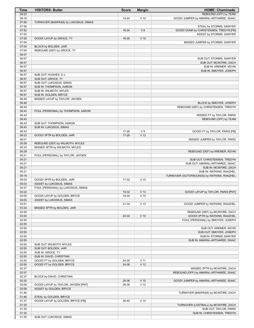| <b>Time</b>    | <b>VISITORS: Butler</b>                                        | <b>Score</b>   | <b>Margin</b>                     | <b>HOME: Chaminade</b>                                            |
|----------------|----------------------------------------------------------------|----------------|-----------------------------------|-------------------------------------------------------------------|
| 08:22          |                                                                |                |                                   | REBOUND (OFF) by TEAM                                             |
| 08:18          |                                                                | 14-24          | $V$ 10                            | GOOD! JUMPER by AMARAL-ARTHAREE, ISAAC                            |
| 07:56          | TURNOVER (BADPASS) by LUKOSIUS, SIMAS                          |                |                                   |                                                                   |
| 07:56<br>07:52 |                                                                |                | V8                                | STEAL by STORMS, SAWYER<br>GOOD! DUNK by CHRISTENSEN, TREDYN [FB] |
| 07:52          |                                                                | $16 - 24$      |                                   | ASSIST by STORMS, SAWYER                                          |
| 07:28          | GOOD! LAYUP by GROCE, TY                                       | 16-26          | $V$ 10                            |                                                                   |
| 07:04          |                                                                |                |                                   | MISSED JUMPER by STORMS, SAWYER                                   |
| 07:04          | BLOCK by BOLDEN, JAIR                                          |                |                                   |                                                                   |
| 07:00          | REBOUND (DEF) by GROCE, TY                                     |                |                                   |                                                                   |
| 06:57          |                                                                |                |                                   |                                                                   |
| 06:57          |                                                                |                |                                   | SUB OUT: STORMS, SAWYER                                           |
| 06:57          |                                                                |                |                                   | SUB OUT: MCINTIRE, ZACH                                           |
| 06:57<br>06:57 |                                                                |                |                                   | SUB IN: KREMER, KEVIN<br>SUB IN: SMOYER, JOSEPH                   |
| 06:57          | SUB OUT: HUGHES, D.J.                                          |                |                                   |                                                                   |
| 06:57          | SUB OUT: GROCE, TY                                             |                |                                   |                                                                   |
| 06:57          | SUB OUT: LUKOSIUS, SIMAS                                       |                |                                   |                                                                   |
| 06:57          | SUB IN: THOMPSON, AARON                                        |                |                                   |                                                                   |
| 06:57          | SUB IN: WILMOTH, MYLES                                         |                |                                   |                                                                   |
| 06:57          | SUB IN: GOLDEN, BRYCE                                          |                |                                   |                                                                   |
| 06:49<br>06:49 | MISSED LAYUP by TAYLOR, JAYDEN                                 |                |                                   | BLOCK by SMOYER, JOSEPH                                           |
| 06:44          |                                                                |                |                                   | REBOUND (DEF) by CHRISTENSEN, TREDYN                              |
| 06:43          | FOUL (PERSONAL) by THOMPSON, AARON                             |                |                                   |                                                                   |
| 06:43          |                                                                |                |                                   | MISSED FT by TAYLOR, PARIS                                        |
| 06:43          |                                                                |                |                                   | REBOUND (OFF) by TEAM                                             |
| 06:43          | SUB OUT: THOMPSON, AARON                                       |                |                                   |                                                                   |
| 06:43          | SUB IN: LUKOSIUS, SIMAS                                        |                |                                   |                                                                   |
| 06:43<br>06:23 |                                                                | 17-26<br>17-29 | V <sub>9</sub><br>V <sub>12</sub> | GOOD! FT by TAYLOR, PARIS [FB]                                    |
| 06:01          | GOOD! 3PTR by BOLDEN, JAIR                                     |                |                                   | MISSED JUMPER by TAYLOR, PARIS                                    |
| 05:58          | REBOUND (DEF) by WILMOTH, MYLES                                |                |                                   |                                                                   |
| 05:33          | MISSED 3PTR by WILMOTH, MYLES                                  |                |                                   |                                                                   |
| 05:29          |                                                                |                |                                   | REBOUND (DEF) by KREMER, KEVIN                                    |
| 05:21          | FOUL (PERSONAL) by TAYLOR, JAYDEN                              |                |                                   |                                                                   |
| 05:21          |                                                                |                |                                   | SUB OUT: CHRISTENSEN, TREDYN                                      |
| 05:21          |                                                                |                |                                   | SUB OUT: AMARAL-ARTHAREE, ISAAC                                   |
| 05:21<br>05:21 |                                                                |                |                                   | SUB IN: MCINTIRE, ZACH<br>SUB IN: WATKINS, RAAZHEL                |
| 05:18          |                                                                |                |                                   | TURNOVER (OUTOFBOUNDS) by WATKINS, RAAZHEL                        |
| 05:03          | GOOD! 3PTR by BOLDEN, JAIR                                     | 17-32          | V <sub>15</sub>                   |                                                                   |
| 05:03          | ASSIST by LUKOSIUS, SIMAS                                      |                |                                   |                                                                   |
| 04:37          | FOUL (PERSONAL) by LUKOSIUS, SIMAS                             |                |                                   |                                                                   |
| 04:22          | GOOD! LAYUP by GOLDEN, BRYCE                                   | 19-32<br>19-34 | V <sub>13</sub>                   | GOOD! LAYUP by TAYLOR, PARIS [PNT]                                |
| 04:05<br>04:05 | ASSIST by LUKOSIUS, SIMAS                                      |                | V <sub>15</sub>                   |                                                                   |
| 03:51          |                                                                | 21-34          | V <sub>13</sub>                   | GOOD! JUMPER by WATKINS, RAAZHEL                                  |
| 03:34          | MISSED 3PTR by BOLDEN, JAIR                                    |                |                                   |                                                                   |
| 03:30          |                                                                |                |                                   | REBOUND (DEF) by MCINTIRE, ZACH                                   |
| 03:20          |                                                                | 24-34          | $V$ 10                            | GOOD! 3PTR by WATKINS, RAAZHEL                                    |
| 02:55          |                                                                |                |                                   | FOUL (PERSONAL) by SMOYER, JOSEPH                                 |
| 02:55<br>02:55 |                                                                |                |                                   | SUB OUT: KREMER, KEVIN                                            |
| 02:55          |                                                                |                |                                   | SUB OUT: SMOYER, JOSEPH                                           |
| 02:55          |                                                                |                |                                   | SUB IN: STORMS, SAWYER                                            |
| 02:55          |                                                                |                |                                   | SUB IN: AMARAL-ARTHAREE, ISAAC                                    |
| 02:55          | SUB OUT: WILMOTH, MYLES                                        |                |                                   |                                                                   |
| 02:55          | SUB OUT: BOLDEN, JAIR                                          |                |                                   |                                                                   |
| 02:55          | SUB IN: GROCE, TY                                              |                |                                   |                                                                   |
| 02:55<br>02:55 | SUB IN: DAVID, CHRISTIAN<br>GOOD! FT by GOLDEN, BRYCE          | 24-35          | $V$ 11                            |                                                                   |
| 02:55          | GOOD! FT by GOLDEN, BRYCE                                      | 24-36          | V <sub>12</sub>                   |                                                                   |
| 02:37          |                                                                |                |                                   | MISSED 3PTR by MCINTIRE, ZACH                                     |
| 02:37          |                                                                |                |                                   | REBOUND (OFF) by AMARAL-ARTHAREE, ISAAC                           |
| 02:37          | BLOCK by DAVID, CHRISTIAN                                      |                |                                   |                                                                   |
| 02:32          |                                                                | 26-36          | $V$ 10                            | GOOD! JUMPER by AMARAL-ARTHAREE, ISAAC                            |
| 02:08<br>02:08 | GOOD! LAYUP by TAYLOR, JAYDEN [PNT]<br>ASSIST by GOLDEN, BRYCE | 26-38          | V <sub>12</sub>                   |                                                                   |
| 01:46          |                                                                |                |                                   | TURNOVER (BADPASS) by MCINTIRE, ZACH                              |
| 01:46          | STEAL by GOLDEN, BRYCE                                         |                |                                   |                                                                   |
| 01:37          | GOOD! LAYUP by GOLDEN, BRYCE [FB]                              | 26-40          | V <sub>14</sub>                   |                                                                   |
| 01:30          |                                                                |                |                                   | TURNOVER (LOSTBALL) by MCINTIRE, ZACH                             |
| 01:30          |                                                                |                |                                   | SUB OUT: TAYLOR, PARIS                                            |
| 01:30<br>01:30 |                                                                |                |                                   | SUB IN: CHRISTENSEN, TREDYN                                       |
|                | SUB OUT: LUKOSIUS, SIMAS                                       |                |                                   |                                                                   |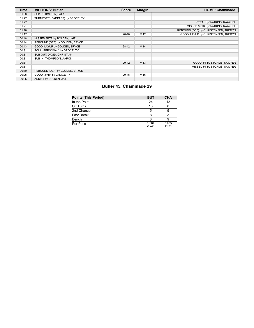| <b>Time</b> | <b>VISITORS: Butler</b>         | <b>Score</b> | <b>Margin</b>   | <b>HOME: Chaminade</b>               |
|-------------|---------------------------------|--------------|-----------------|--------------------------------------|
| 01:30       | SUB IN: BOLDEN, JAIR            |              |                 |                                      |
| 01:27       | TURNOVER (BADPASS) by GROCE, TY |              |                 |                                      |
| 01:27       |                                 |              |                 | STEAL by WATKINS, RAAZHEL            |
| 01:21       |                                 |              |                 | MISSED 3PTR by WATKINS, RAAZHEL      |
| 01:18       |                                 |              |                 | REBOUND (OFF) by CHRISTENSEN, TREDYN |
| 01:17       |                                 | 28-40        | V <sub>12</sub> | GOOD! LAYUP by CHRISTENSEN, TREDYN   |
| 00:48       | MISSED 3PTR by BOLDEN, JAIR     |              |                 |                                      |
| 00:44       | REBOUND (OFF) by GOLDEN, BRYCE  |              |                 |                                      |
| 00:43       | GOOD! LAYUP by GOLDEN, BRYCE    | 28-42        | V <sub>14</sub> |                                      |
| 00:31       | FOUL (PERSONAL) by GROCE, TY    |              |                 |                                      |
| 00:31       | SUB OUT: DAVID, CHRISTIAN       |              |                 |                                      |
| 00:31       | SUB IN: THOMPSON, AARON         |              |                 |                                      |
| 00:31       |                                 | 29-42        | V <sub>13</sub> | GOOD! FT by STORMS, SAWYER           |
| 00:31       |                                 |              |                 | MISSED FT by STORMS, SAWYER          |
| 00:30       | REBOUND (DEF) by GOLDEN, BRYCE  |              |                 |                                      |
| 00:05       | GOOD! 3PTR by GROCE, TY         | 29-45        | V <sub>16</sub> |                                      |
| 00:05       | ASSIST by BOLDEN, JAIR          |              |                 |                                      |

# **Butler 45, Chaminade 29**

| <b>Points (This Period)</b> | <b>BUT</b>     | <b>CHA</b>     |
|-----------------------------|----------------|----------------|
| In the Paint                | 24             | 12             |
| Off Turns                   | 13             |                |
| 2nd Chance                  | 5              |                |
| <b>Fast Break</b>           |                |                |
| Bench                       |                |                |
| Per Poss                    | 1.364<br>20/33 | 0.935<br>14/31 |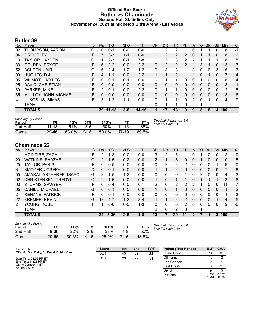### **Official Box Score Butler vs Chaminade Second Half Statistics Only November 24, 2021 at Michelob Ultra Arena - Las Vegas**



### **Butler 39**

| No. | Player                | S  | <b>Pts</b>   | <b>FG</b> | 3FG     | <b>FT</b> | <b>OR</b> | <b>DR</b> | <b>TR</b>            | PF | A        | TO | <b>Blk</b> | Stl          | <b>Min</b> | $+/-$          |
|-----|-----------------------|----|--------------|-----------|---------|-----------|-----------|-----------|----------------------|----|----------|----|------------|--------------|------------|----------------|
| 02  | THOMPSON, AARON       | G  | 0            | $0 - 1$   | $0 - 0$ | $0-0$     | 0         | 2         | 2                    |    | 0        |    |            | 0            | 8          | -1             |
| 04  | <b>GROCE, TY</b>      | F  |              | $3 - 3$   | $1 - 1$ | $0 - 0$   | $\Omega$  | 2         | 2                    | 2  | 0        |    |            | $\mathbf{0}$ | 8          | 12             |
| 13  | TAYLOR, JAYDEN        | G  | 11           | $2 - 3$   | $0 - 1$ | 7-8       | 0         | 3         | 3                    | 2  | 2        |    |            |              | 18         | 15             |
| 33  | <b>GOLDEN, BRYCE</b>  | F  | 6            | $2 - 2$   | $0 - 0$ | $2 - 2$   | 0         | 2         | $\overline{2}$       | 2  |          | 3  |            | 0            | 13         | 13             |
| 52  | <b>BOLDEN, JAIR</b>   | G  | 6            | $2 - 4$   | $1 - 2$ | $1 - 2$   | 0         | 3         | 3                    | 1  | 3        | 0  | $\Omega$   | 3            | 15         | 17             |
| 00  | HUGHES, D.J.          | F. | 4            | $1 - 1$   | $0 - 0$ | $2 - 2$   |           | 1         | $\overline{2}$       |    |          | 0  |            | 0            |            | $\overline{4}$ |
| 05  | <b>WILMOTH, MYLES</b> | F  | 0            | $0 - 1$   | $0 - 1$ | $0 - 0$   | 0         | 1         |                      | 0  | $\Omega$ |    | 0          | $\Omega$     | 8          | 4              |
| 25  | DAVID, CHRISTIAN      | F. | $\mathbf{0}$ | $0 - 0$   | $0 - 0$ | $0 - 0$   | 0         | $\Omega$  | $\mathbf{0}$         | 0  | 0        | 0  | $\Omega$   | $\mathbf{0}$ | 3          | 1              |
| 30  | PARKER, MIKE          | F  | 2            | $0 - 1$   | $0 - 0$ | $2 - 2$   | 0         | 1         |                      | 0  | 0        | 0  | 0          | $\Omega$     | 2          | 5              |
| 35  | MULLOY, JOHN-MICHAEL  | F  | 0            | $0 - 0$   | $0 - 0$ | $0 - 0$   | 0         | 0         | $\mathbf{0}$         | 0  | 0        | 0  | 0          | 0            | 3          | 6              |
| 41  | LUKOSIUS, SIMAS       | F  | 3            | $1 - 2$   | $1 - 1$ | $0 - 0$   | 0         | 1         | $\blacktriangleleft$ | 0  | 2        | 0  |            | 0            | 14         | 9              |
|     | TEAM                  |    |              |           |         |           | 0         | 1         |                      | 0  |          |    |            |              |            |                |
|     | <b>TOTALS</b>         |    |              | 39 11-18  | $3 - 6$ | $14 - 16$ |           | 17        | 18                   | 9  | 9        | 8  | 6          | 4            | 100        |                |
|     |                       |    |              |           |         |           |           |           |                      |    |          |    |            |              |            |                |
|     | Shooting By Period    |    |              |           |         |           |           |           |                      |    |          |    |            |              |            |                |

| <b>Shooting By Period</b><br>Period | FG        | FG%   | 3FG      | 3FG%  |         | FT%   | Deadball Rebounds: 1,0<br>Last FG Half: BUT - |
|-------------------------------------|-----------|-------|----------|-------|---------|-------|-----------------------------------------------|
| 2nd Half                            | $11 - 18$ | 61%   | $3-6$    | 50%   | 14-16   | 88%   |                                               |
| Game                                | 29-46     | 63.0% | $9 - 18$ | 50.0% | $17-19$ | 89.5% |                                               |

## **Chaminade 22**

| No. | Player                     | S | <b>Pts</b>     | FG       | 3FG     | <b>FT</b> | <b>OR</b>      | <b>DR</b> | TR             | PF            | A        | TO | <b>B</b> lk  | Stl          | Min | $+/-$ |
|-----|----------------------------|---|----------------|----------|---------|-----------|----------------|-----------|----------------|---------------|----------|----|--------------|--------------|-----|-------|
| 11  | MCINTIRE, ZACH             | F | 2              | $1 - 2$  | $0-0$   | $0 - 0$   | 3              | 2         | 5              |               | 0        |    | 0            | 0            | 12  | -19   |
| 20  | <b>WATKINS, RAAZHEL</b>    | G | $\mathcal{P}$  | $1 - 5$  | $0 - 2$ | $0 - 0$   | $\overline{2}$ | 1         | 3              | 0             | 0        |    | $\mathbf{0}$ | $\mathbf{0}$ | 10  | $-15$ |
| 25  | TAYLOR, PARIS              | F | 0              | $0 - 5$  | $0 - 0$ | $0 - 0$   | 0              | 2         | 2              | 2             | 0        | 0  | 0            |              | 9   | -10   |
| 31  | SMOYER, JOSEPH             | С | 0              | $0 - 1$  | $0 - 0$ | $0 - 0$   | 1              | 1         | $\overline{2}$ | 0             | 0        | 0  | 0            | 0            | 7   | -8    |
| 55  | AMARAL-ARTHAREE, ISAAC     | G | 3              | $1 - 5$  | 1-2     | $0 - 0$   | 0              | 0         | 0              |               | 0        | 2  | 0            | 0            | 14  | $-3$  |
| 02  | <b>CHRISTENSEN, TREDYN</b> | G | $\overline{2}$ | $1 - 5$  | $0 - 0$ | $0 - 0$   | $\mathbf{1}$   | $\Omega$  | $\mathbf 1$    |               | 0        |    |              |              | 13  | -8    |
| 03  | STORMS, SAWYER             | F | 0              | $0 - 4$  | $0 - 0$ | $0 - 1$   | 2              | 0         | 2              | 2             | 2        |    | 0            | 0            | 11  | $-7$  |
| 05  | <b>CAHILL, MICHAEL</b>     | G | $\Omega$       | $0 - 1$  | $0 - 0$ | $0 - 0$   | $\mathbf{1}$   | 0         | $\mathbf{1}$   | $\Omega$      | 0        | 0  | 0            | $\Omega$     | 1   | $-2$  |
| 21  | <b>RENANE, PATRICK</b>     | F | 0              | $0 - 1$  | $0 - 0$ | $0 - 0$   | 0              | $\Omega$  | $\Omega$       | 0             | 0        | 0  | 0            | 0            | 1   | $-2$  |
| 22  | <b>KREMER, KEVIN</b>       | G | 12             | $4 - 7$  | $1 - 2$ | $3 - 4$   | $\mathbf 1$    |           | $\overline{2}$ | $\mathcal{P}$ | $\Omega$ | 0  | 0            |              | 14  | $-5$  |
| 24  | YOUNG, KOBE                | F |                | $0 - 0$  | $0 - 0$ | $1 - 3$   | 0              | $\Omega$  | $\Omega$       | 2             | 0        | 0  | 0            | $\Omega$     | 9   | -6    |
|     | <b>TEAM</b>                |   |                |          |         |           | 2              | 0         | 2              | 0             |          |    |              |              |     |       |
|     | <b>TOTALS</b>              |   | 22             | $8 - 36$ | 2-6     | $4 - 8$   | 13             | 7         | 20             | 11            | 2        |    |              | 3            | 100 |       |
|     |                            |   |                |          |         |           |                |           |                |               |          |    |              |              |     |       |

| <b>Shooting By Period</b> |           |       |       |       |          |       |
|---------------------------|-----------|-------|-------|-------|----------|-------|
| Period                    | FG        | FG%   | 3FG   | 3FG%  |          | FT%   |
| 2nd Half                  | 8-36      | 22%   | $2-6$ | 33%   | 4-8      | 50%   |
| Game                      | $20 - 66$ | 30.3% | 4-16  | 25.0% | $7 - 16$ | 43.8% |

*Deadball Rebounds:* 5,0 *Last FG Half:* CHA -

| Game Notes:                                 | <b>Score</b> | 1st | 2 <sub>nd</sub> | <b>TOT</b> | <b>Points (This Period)</b> |               | <b>BUT CHA</b> |
|---------------------------------------------|--------------|-----|-----------------|------------|-----------------------------|---------------|----------------|
| Officials: Don Daily, AJ Desai, Deldre Carr | <b>BUT</b>   | 45  | 39              | 84         | In the Paint                |               |                |
| Start Time: 09:05 PM ET                     | <b>CHA</b>   | 29  | 22              | 51         | Off Turns                   |               | 12             |
| End Time: 11:02 PM ET                       |              |     |                 |            | 2nd Chance                  |               |                |
| Game Duration: 1:57<br>Neutral Court:       |              |     |                 |            | <b>Fast Break</b>           |               |                |
|                                             |              |     |                 |            | Bench                       |               | 15             |
|                                             |              |     |                 |            | Per Poss                    | .258<br>18/31 | 0.667<br>10/33 |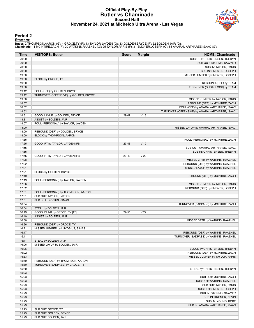#### **Official Play-By-Play Butler vs Chaminade Second Half November 24, 2021 at Michelob Ultra Arena - Las Vegas**



### **Period 2**

<mark>Starters:</mark><br>Butler: 2 THOMPSON,AARON (G); 4 GROCE,TY (F); 13 TAYLOR,JAYDEN (G); 33 GOLDEN,BRYCE (F); 52 BOLDEN,JAIR (G);<br>**Chaminade**: 11 MCINTIRE,ZACH (F); 20 WATKINS,RAAZHEL (G); 25 TAYLOR,PARIS (F); 31 SMOYER,JOSEPH (C);

| Time           | <b>VISITORS: Butler</b>               | <b>Score</b> | <b>Margin</b>   | <b>HOME: Chaminade</b>                                            |
|----------------|---------------------------------------|--------------|-----------------|-------------------------------------------------------------------|
| 20:00          |                                       |              |                 | SUB OUT: CHRISTENSEN, TREDYN                                      |
| 20:00          |                                       |              |                 | SUB OUT: STORMS, SAWYER                                           |
| 20:00          |                                       |              |                 | SUB IN: TAYLOR, PARIS                                             |
| 20:00          |                                       |              |                 | SUB IN: SMOYER, JOSEPH                                            |
| 19:30          |                                       |              |                 | MISSED JUMPER by SMOYER, JOSEPH                                   |
| 19:30          | BLOCK by GROCE, TY                    |              |                 |                                                                   |
| 19:30          |                                       |              |                 | REBOUND (OFF) by TEAM                                             |
| 19:30          |                                       |              |                 | TURNOVER (SHOTCLOCK) by TEAM                                      |
| 19:12          | FOUL (OFF) by GOLDEN, BRYCE           |              |                 |                                                                   |
| 19:12<br>19:00 | TURNOVER (OFFENSIVE) by GOLDEN, BRYCE |              |                 |                                                                   |
| 18:57          |                                       |              |                 | MISSED JUMPER by TAYLOR, PARIS<br>REBOUND (OFF) by MCINTIRE, ZACH |
| 18:52          |                                       |              |                 | FOUL (OFF) by AMARAL-ARTHAREE, ISAAC                              |
| 18:52          |                                       |              |                 | TURNOVER (OFFENSIVE) by AMARAL-ARTHAREE, ISAAC                    |
| 18:31          | GOOD! LAYUP by GOLDEN, BRYCE          | 29-47        | V <sub>18</sub> |                                                                   |
| 18:31          | ASSIST by BOLDEN, JAIR                |              |                 |                                                                   |
| 18:07          | FOUL (PERSONAL) by TAYLOR, JAYDEN     |              |                 |                                                                   |
| 18:00          |                                       |              |                 | MISSED LAYUP by AMARAL-ARTHAREE, ISAAC                            |
| 18:00          | REBOUND (DEF) by GOLDEN, BRYCE        |              |                 |                                                                   |
| 18:00          | BLOCK by THOMPSON, AARON              |              |                 |                                                                   |
| 17:55          |                                       |              |                 | FOUL (PERSONAL) by MCINTIRE, ZACH                                 |
| 17:55          | GOOD! FT by TAYLOR, JAYDEN [FB]       | 29-48        | V 19            |                                                                   |
| 17:55          |                                       |              |                 | SUB OUT: AMARAL-ARTHAREE, ISAAC                                   |
| 17:55          |                                       |              |                 | SUB IN: CHRISTENSEN, TREDYN                                       |
| 17:55          | GOOD! FT by TAYLOR, JAYDEN [FB]       | 29-49        | V <sub>20</sub> |                                                                   |
| 17:28          |                                       |              |                 | MISSED 3PTR by WATKINS, RAAZHEL                                   |
| 17:22          |                                       |              |                 | REBOUND (OFF) by WATKINS, RAAZHEL                                 |
| 17:21<br>17:21 | BLOCK by GOLDEN, BRYCE                |              |                 | MISSED LAYUP by WATKINS, RAAZHEL                                  |
| 17:19          |                                       |              |                 | REBOUND (OFF) by MCINTIRE, ZACH                                   |
| 17:19          | FOUL (PERSONAL) by TAYLOR, JAYDEN     |              |                 |                                                                   |
| 17:06          |                                       |              |                 | MISSED JUMPER by TAYLOR, PARIS                                    |
| 17:02          |                                       |              |                 | REBOUND (OFF) by SMOYER, JOSEPH                                   |
| 17:01          | FOUL (PERSONAL) by THOMPSON, AARON    |              |                 |                                                                   |
| 17:01          | SUB OUT: TAYLOR, JAYDEN               |              |                 |                                                                   |
| 17:01          | SUB IN: LUKOSIUS, SIMAS               |              |                 |                                                                   |
| 16:54          |                                       |              |                 | TURNOVER (BADPASS) by MCINTIRE, ZACH                              |
| 16:54          | STEAL by BOLDEN, JAIR                 |              |                 |                                                                   |
| 16:49          | GOOD! DUNK by GROCE, TY [FB]          | 29-51        | V <sub>22</sub> |                                                                   |
| 16:49          | ASSIST by BOLDEN, JAIR                |              |                 |                                                                   |
| 16:30          |                                       |              |                 | MISSED 3PTR by WATKINS, RAAZHEL                                   |
| 16:26          | REBOUND (DEF) by GROCE, TY            |              |                 |                                                                   |
| 16:21<br>16:17 | MISSED JUMPER by LUKOSIUS, SIMAS      |              |                 | REBOUND (DEF) by WATKINS, RAAZHEL                                 |
| 16:11          |                                       |              |                 | TURNOVER (BADPASS) by WATKINS, RAAZHEL                            |
| 16:11          | STEAL by BOLDEN, JAIR                 |              |                 |                                                                   |
| 16:06          | MISSED LAYUP by BOLDEN, JAIR          |              |                 |                                                                   |
| 16:06          |                                       |              |                 | BLOCK by CHRISTENSEN, TREDYN                                      |
| 16:02          |                                       |              |                 | REBOUND (DEF) by MCINTIRE, ZACH                                   |
| 15:53          |                                       |              |                 | MISSED JUMPER by TAYLOR, PARIS                                    |
| 15:49          | REBOUND (DEF) by THOMPSON, AARON      |              |                 |                                                                   |
| 15:30          | TURNOVER (BADPASS) by GROCE, TY       |              |                 |                                                                   |
| 15:30          |                                       |              |                 | STEAL by CHRISTENSEN, TREDYN                                      |
| 15:23          |                                       |              |                 |                                                                   |
| 15:23          |                                       |              |                 | SUB OUT: MCINTIRE, ZACH                                           |
| 15:23          |                                       |              |                 | SUB OUT: WATKINS, RAAZHEL                                         |
| 15:23          |                                       |              |                 | SUB OUT: TAYLOR, PARIS                                            |
| 15:23<br>15:23 |                                       |              |                 | SUB OUT: SMOYER, JOSEPH<br>SUB IN: STORMS, SAWYER                 |
| 15:23          |                                       |              |                 | SUB IN: KREMER, KEVIN                                             |
| 15:23          |                                       |              |                 | SUB IN: YOUNG, KOBE                                               |
| 15:23          |                                       |              |                 | SUB IN: AMARAL-ARTHAREE, ISAAC                                    |
| 15:23          | SUB OUT: GROCE, TY                    |              |                 |                                                                   |
| 15:23          | SUB OUT: GOLDEN, BRYCE                |              |                 |                                                                   |
| 15:23          | SUB OUT: BOLDEN, JAIR                 |              |                 |                                                                   |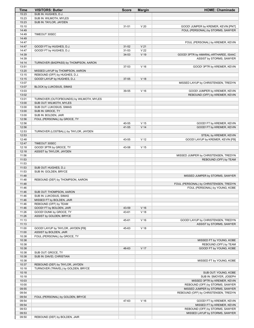| Time           | <b>VISITORS: Butler</b>                                      | <b>Score</b> | <b>Margin</b>   | <b>HOME: Chaminade</b>                 |
|----------------|--------------------------------------------------------------|--------------|-----------------|----------------------------------------|
| 15:23          | SUB IN: HUGHES, D.J.                                         |              |                 |                                        |
| 15:23          | SUB IN: WILMOTH, MYLES                                       |              |                 |                                        |
| 15:23<br>15:10 | SUB IN: TAYLOR, JAYDEN                                       | $31 - 51$    | V <sub>20</sub> | GOOD! JUMPER by KREMER, KEVIN [PNT]    |
| 14:49          |                                                              |              |                 | FOUL (PERSONAL) by STORMS, SAWYER      |
| 14:49          | TIMEOUT 30SEC                                                |              |                 |                                        |
| 14:49          |                                                              |              |                 |                                        |
| 14:47          |                                                              |              |                 | FOUL (PERSONAL) by KREMER, KEVIN       |
| 14:47          | GOOD! FT by HUGHES, D.J.                                     | $31 - 52$    | V <sub>21</sub> |                                        |
| 14:47          | GOOD! FT by HUGHES, D.J.                                     | $31 - 53$    | V <sub>22</sub> |                                        |
| 14:39          |                                                              | 34-53        | $V$ 19          | GOOD! 3PTR by AMARAL-ARTHAREE, ISAAC   |
| 14:39<br>14:14 | TURNOVER (BADPASS) by THOMPSON, AARON                        |              |                 | ASSIST by STORMS, SAWYER               |
| 13:51          |                                                              | 37-53        | V <sub>16</sub> | GOOD! 3PTR by KREMER, KEVIN            |
| 13:20          | MISSED LAYUP by THOMPSON, AARON                              |              |                 |                                        |
| 13:15          | REBOUND (OFF) by HUGHES, D.J.                                |              |                 |                                        |
| 13:15          | GOOD! LAYUP by HUGHES, D.J.                                  | 37-55        | V <sub>18</sub> |                                        |
| 13:07          |                                                              |              |                 | MISSED LAYUP by CHRISTENSEN, TREDYN    |
| 13:07          | BLOCK by LUKOSIUS, SIMAS                                     |              |                 |                                        |
| 13:03          |                                                              | 39-55        | V <sub>16</sub> | GOOD! JUMPER by KREMER, KEVIN          |
| 13:02<br>13:01 | TURNOVER (OUTOFBOUNDS) by WILMOTH, MYLES                     |              |                 | REBOUND (OFF) by KREMER, KEVIN         |
| 13:00          | SUB OUT: WILMOTH, MYLES                                      |              |                 |                                        |
| 13:00          | SUB OUT: LUKOSIUS, SIMAS                                     |              |                 |                                        |
| 13:00          | SUB IN: GROCE, TY                                            |              |                 |                                        |
| 13:00          | SUB IN: BOLDEN, JAIR                                         |              |                 |                                        |
| 12:56          | FOUL (PERSONAL) by GROCE, TY                                 |              |                 |                                        |
| 12:56          |                                                              | 40-55        | V <sub>15</sub> | GOOD! FT by KREMER, KEVIN              |
| 12:56<br>12:53 | TURNOVER (LOSTBALL) by TAYLOR, JAYDEN                        | 41-55        | V <sub>14</sub> | GOOD! FT by KREMER, KEVIN              |
| 12:53          |                                                              |              |                 | STEAL by KREMER, KEVIN                 |
| 12:48          |                                                              | 43-55        | V <sub>12</sub> | GOOD! LAYUP by KREMER, KEVIN [FB]      |
| 12:47          | TIMEOUT 30SEC                                                |              |                 |                                        |
| 12:18          | GOOD! 3PTR by GROCE, TY                                      | 43-58        | V <sub>15</sub> |                                        |
| 12:18          | ASSIST by TAYLOR, JAYDEN                                     |              |                 |                                        |
| 11:56          |                                                              |              |                 | MISSED JUMPER by CHRISTENSEN, TREDYN   |
| 11:53<br>11:53 |                                                              |              |                 | REBOUND (OFF) by TEAM                  |
| 11:53          | SUB OUT: HUGHES, D.J.                                        |              |                 |                                        |
| 11:53          | SUB IN: GOLDEN, BRYCE                                        |              |                 |                                        |
| 11:48          |                                                              |              |                 | MISSED JUMPER by STORMS, SAWYER        |
| 11:48          | REBOUND (DEF) by THOMPSON, AARON                             |              |                 |                                        |
| 11:48          |                                                              |              |                 | FOUL (PERSONAL) by CHRISTENSEN, TREDYN |
| 11:46          |                                                              |              |                 | FOUL (PERSONAL) by YOUNG, KOBE         |
| 11:46<br>11:46 | SUB OUT: THOMPSON, AARON<br>SUB IN: LUKOSIUS, SIMAS          |              |                 |                                        |
| 11:46          | MISSED FT by BOLDEN, JAIR                                    |              |                 |                                        |
| 11:46          | REBOUND (OFF) by TEAM                                        |              |                 |                                        |
| 11:46          | GOOD! FT by BOLDEN, JAIR                                     | 43-59        | V <sub>16</sub> |                                        |
| 11:26          | GOOD! DUNK by GROCE, TY                                      | 43-61        | V <sub>18</sub> |                                        |
| 11:26          | ASSIST by GOLDEN, BRYCE                                      |              |                 |                                        |
| 11:13          |                                                              | 45-61        | V <sub>16</sub> | GOOD! LAYUP by CHRISTENSEN, TREDYN     |
| 11:13<br>11:00 |                                                              | 45-63        | V <sub>18</sub> | ASSIST by STORMS, SAWYER               |
| 11:00          | GOOD! LAYUP by TAYLOR, JAYDEN [FB]<br>ASSIST by BOLDEN, JAIR |              |                 |                                        |
| 10:38          | FOUL (PERSONAL) by GROCE, TY                                 |              |                 |                                        |
| 10:38          |                                                              |              |                 | MISSED FT by YOUNG, KOBE               |
| 10:38          |                                                              |              |                 | REBOUND (OFF) by TEAM                  |
| 10:38          |                                                              | 46-63        | V 17            | GOOD! FT by YOUNG, KOBE                |
| 10:38          | SUB OUT: GROCE, TY                                           |              |                 |                                        |
| 10:38          | SUB IN: DAVID, CHRISTIAN                                     |              |                 |                                        |
| 10:38<br>10:37 | REBOUND (DEF) by TAYLOR, JAYDEN                              |              |                 | MISSED FT by YOUNG, KOBE               |
| 10:18          | TURNOVER (TRAVEL) by GOLDEN, BRYCE                           |              |                 |                                        |
| 10:18          |                                                              |              |                 | SUB OUT: YOUNG, KOBE                   |
| 10:18          |                                                              |              |                 | SUB IN: SMOYER, JOSEPH                 |
| 10:03          |                                                              |              |                 | MISSED 3PTR by KREMER, KEVIN           |
| 10:00          |                                                              |              |                 | REBOUND (OFF) by STORMS, SAWYER        |
| 09:55          |                                                              |              |                 | MISSED JUMPER by STORMS, SAWYER        |
| 09:54          |                                                              |              |                 | REBOUND (OFF) by CHRISTENSEN, TREDYN   |
| 09:54<br>09:54 | FOUL (PERSONAL) by GOLDEN, BRYCE                             | 47-63        | $V$ 16          | GOOD! FT by KREMER, KEVIN              |
| 09:54          |                                                              |              |                 | MISSED FT by KREMER, KEVIN             |
| 09:53          |                                                              |              |                 | REBOUND (OFF) by STORMS, SAWYER        |
| 09:53          |                                                              |              |                 | MISSED LAYUP by STORMS, SAWYER         |
| 09:50          | REBOUND (DEF) by BOLDEN, JAIR                                |              |                 |                                        |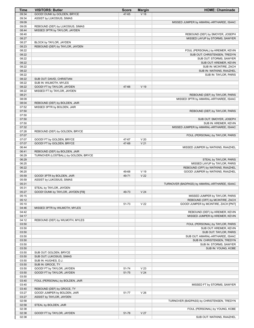| Time           | <b>VISITORS: Butler</b>                                   | <b>Score</b> | <b>Margin</b>   | <b>HOME: Chaminade</b>                                            |
|----------------|-----------------------------------------------------------|--------------|-----------------|-------------------------------------------------------------------|
| 09:34          | GOOD! DUNK by GOLDEN, BRYCE                               | 47-65        | V <sub>18</sub> |                                                                   |
| 09:34          | ASSIST by LUKOSIUS, SIMAS                                 |              |                 |                                                                   |
| 09:09          |                                                           |              |                 | MISSED JUMPER by AMARAL-ARTHAREE, ISAAC                           |
| 09:05          | REBOUND (DEF) by LUKOSIUS, SIMAS                          |              |                 |                                                                   |
| 08:44          | MISSED 3PTR by TAYLOR, JAYDEN                             |              |                 |                                                                   |
| 08:40          |                                                           |              |                 | REBOUND (DEF) by SMOYER, JOSEPH                                   |
| 08:27          |                                                           |              |                 | MISSED LAYUP by STORMS, SAWYER                                    |
| 08:27          | BLOCK by TAYLOR, JAYDEN                                   |              |                 |                                                                   |
| 08:23          | REBOUND (DEF) by TAYLOR, JAYDEN                           |              |                 |                                                                   |
| 08:22          |                                                           |              |                 | FOUL (PERSONAL) by KREMER, KEVIN                                  |
| 08:22          |                                                           |              |                 | SUB OUT: CHRISTENSEN, TREDYN                                      |
| 08:22          |                                                           |              |                 | SUB OUT: STORMS, SAWYER                                           |
| 08:22          |                                                           |              |                 | SUB OUT: KREMER, KEVIN                                            |
| 08:22          |                                                           |              |                 | SUB IN: MCINTIRE, ZACH                                            |
| 08:22          |                                                           |              |                 | SUB IN: WATKINS, RAAZHEL                                          |
| 08:22          |                                                           |              |                 | SUB IN: TAYLOR, PARIS                                             |
| 08:22          | SUB OUT: DAVID, CHRISTIAN                                 |              |                 |                                                                   |
| 08:22          | SUB IN: WILMOTH, MYLES                                    |              | V 19            |                                                                   |
| 08:22          | GOOD! FT by TAYLOR, JAYDEN<br>MISSED FT by TAYLOR, JAYDEN | 47-66        |                 |                                                                   |
| 08:22<br>08:21 |                                                           |              |                 | REBOUND (DEF) by TAYLOR, PARIS                                    |
| 08:09          |                                                           |              |                 | MISSED 3PTR by AMARAL-ARTHAREE, ISAAC                             |
| 08:04          | REBOUND (DEF) by BOLDEN, JAIR                             |              |                 |                                                                   |
| 07:52          | MISSED 3PTR by BOLDEN, JAIR                               |              |                 |                                                                   |
| 07:50          |                                                           |              |                 | REBOUND (DEF) by TAYLOR, PARIS                                    |
| 07:50          |                                                           |              |                 |                                                                   |
| 07:50          |                                                           |              |                 | SUB OUT: SMOYER, JOSEPH                                           |
| 07:50          |                                                           |              |                 | SUB IN: KREMER, KEVIN                                             |
| 07:32          |                                                           |              |                 | MISSED JUMPER by AMARAL-ARTHAREE, ISAAC                           |
| 07:28          | REBOUND (DEF) by GOLDEN, BRYCE                            |              |                 |                                                                   |
| 07:07          |                                                           |              |                 | FOUL (PERSONAL) by TAYLOR, PARIS                                  |
| 07:07          | GOOD! FT by GOLDEN, BRYCE                                 | 47-67        | V <sub>20</sub> |                                                                   |
| 07:07          | GOOD! FT by GOLDEN, BRYCE                                 | 47-68        | V <sub>21</sub> |                                                                   |
| 06:44          |                                                           |              |                 | MISSED JUMPER by WATKINS, RAAZHEL                                 |
| 06:41          | REBOUND (DEF) by BOLDEN, JAIR                             |              |                 |                                                                   |
| 06:29          | TURNOVER (LOSTBALL) by GOLDEN, BRYCE                      |              |                 |                                                                   |
| 06:29          |                                                           |              |                 | STEAL by TAYLOR, PARIS                                            |
| 06:25          |                                                           |              |                 | MISSED LAYUP by TAYLOR, PARIS                                     |
| 06:22          |                                                           |              |                 | REBOUND (OFF) by WATKINS, RAAZHEL                                 |
| 06:20          |                                                           | 49-68        | V 19            | GOOD! JUMPER by WATKINS, RAAZHEL                                  |
| 05:59          | GOOD! 3PTR by BOLDEN, JAIR                                | 49-71        | V <sub>22</sub> |                                                                   |
| 05:59          | ASSIST by LUKOSIUS, SIMAS                                 |              |                 |                                                                   |
| 05:31          |                                                           |              |                 | TURNOVER (BADPASS) by AMARAL-ARTHAREE, ISAAC                      |
| 05:31          | STEAL by TAYLOR, JAYDEN                                   |              |                 |                                                                   |
| 05:27          | GOOD! DUNK by TAYLOR, JAYDEN [FB]                         | 49-73        | V <sub>24</sub> |                                                                   |
| 05:15<br>05:12 |                                                           |              |                 | MISSED JUMPER by TAYLOR, PARIS<br>REBOUND (OFF) by MCINTIRE, ZACH |
| 05:10          |                                                           | 51-73        | V <sub>22</sub> | GOOD! JUMPER by MCINTIRE, ZACH [PNT]                              |
| 04:46          | MISSED 3PTR by WILMOTH, MYLES                             |              |                 |                                                                   |
| 04:42          |                                                           |              |                 | REBOUND (DEF) by KREMER, KEVIN                                    |
| 04:17          |                                                           |              |                 | MISSED JUMPER by KREMER, KEVIN                                    |
| 04:12          | REBOUND (DEF) by WILMOTH, MYLES                           |              |                 |                                                                   |
| 03:50          |                                                           |              |                 | FOUL (PERSONAL) by TAYLOR, PARIS                                  |
| 03:50          |                                                           |              |                 | SUB OUT: KREMER, KEVIN                                            |
| 03:50          |                                                           |              |                 | SUB OUT: TAYLOR, PARIS                                            |
| 03:50          |                                                           |              |                 | SUB OUT: AMARAL-ARTHAREE, ISAAC                                   |
| 03:50          |                                                           |              |                 | SUB IN: CHRISTENSEN, TREDYN                                       |
| 03:50          |                                                           |              |                 | SUB IN: STORMS, SAWYER                                            |
| 03:50          |                                                           |              |                 | SUB IN: YOUNG, KOBE                                               |
| 03:50          | SUB OUT: GOLDEN, BRYCE                                    |              |                 |                                                                   |
| 03:50          | SUB OUT: LUKOSIUS, SIMAS                                  |              |                 |                                                                   |
| 03:50          | SUB IN: HUGHES, D.J.                                      |              |                 |                                                                   |
| 03:50          | SUB IN: GROCE, TY                                         |              |                 |                                                                   |
| 03:50          | GOOD! FT by TAYLOR, JAYDEN                                | 51-74        | V <sub>23</sub> |                                                                   |
| 03:50          | GOOD! FT by TAYLOR, JAYDEN                                | 51-75        | V <sub>24</sub> |                                                                   |
| 03:50          |                                                           |              |                 |                                                                   |
| 03:40          | FOUL (PERSONAL) by BOLDEN, JAIR                           |              |                 |                                                                   |
| 03:40          |                                                           |              |                 | MISSED FT by STORMS, SAWYER                                       |
| 03:40          | REBOUND (DEF) by GROCE, TY                                |              |                 |                                                                   |
| 03:27          | GOOD! JUMPER by BOLDEN, JAIR                              | 51-77        | V <sub>26</sub> |                                                                   |
| 03:27          | ASSIST by TAYLOR, JAYDEN                                  |              |                 |                                                                   |
| 02:58          |                                                           |              |                 | TURNOVER (BADPASS) by CHRISTENSEN, TREDYN                         |
| 02:58<br>02:38 | STEAL by BOLDEN, JAIR                                     |              |                 |                                                                   |
| 02:38          | GOOD! FT by TAYLOR, JAYDEN                                | 51-78        | V <sub>27</sub> | FOUL (PERSONAL) by YOUNG, KOBE                                    |
| 02:38          |                                                           |              |                 | SUB OUT: WATKINS, RAAZHEL                                         |
|                |                                                           |              |                 |                                                                   |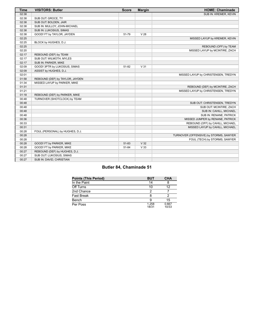| <b>Time</b> | <b>VISITORS: Butler</b>         | <b>Score</b> | <b>Margin</b>   | <b>HOME: Chaminade</b>                 |
|-------------|---------------------------------|--------------|-----------------|----------------------------------------|
| 02:38       |                                 |              |                 | SUB IN: KREMER, KEVIN                  |
| 02:38       | SUB OUT: GROCE, TY              |              |                 |                                        |
| 02:38       | SUB OUT: BOLDEN, JAIR           |              |                 |                                        |
| 02:38       | SUB IN: MULLOY, JOHN-MICHAEL    |              |                 |                                        |
| 02:38       | SUB IN: LUKOSIUS, SIMAS         |              |                 |                                        |
| 02:38       | GOOD! FT by TAYLOR, JAYDEN      | 51-79        | V <sub>28</sub> |                                        |
| 02:25       |                                 |              |                 | MISSED LAYUP by KREMER, KEVIN          |
| 02:25       | BLOCK by HUGHES, D.J.           |              |                 |                                        |
| 02:25       |                                 |              |                 | REBOUND (OFF) by TEAM                  |
| 02:20       |                                 |              |                 | MISSED LAYUP by MCINTIRE, ZACH         |
| 02:17       | REBOUND (DEF) by TEAM           |              |                 |                                        |
| 02:17       | SUB OUT: WILMOTH, MYLES         |              |                 |                                        |
| 02:17       | SUB IN: PARKER, MIKE            |              |                 |                                        |
| 02:09       | GOOD! 3PTR by LUKOSIUS, SIMAS   | $51 - 82$    | V <sub>31</sub> |                                        |
| 02:09       | ASSIST by HUGHES, D.J.          |              |                 |                                        |
| 02:01       |                                 |              |                 | MISSED LAYUP by CHRISTENSEN, TREDYN    |
| 01:58       | REBOUND (DEF) by TAYLOR, JAYDEN |              |                 |                                        |
| 01:34       | MISSED LAYUP by PARKER, MIKE    |              |                 |                                        |
| 01:31       |                                 |              |                 | REBOUND (DEF) by MCINTIRE, ZACH        |
| 01:21       |                                 |              |                 | MISSED LAYUP by CHRISTENSEN, TREDYN    |
| 01:18       | REBOUND (DEF) by PARKER, MIKE   |              |                 |                                        |
| 00:48       | TURNOVER (SHOTCLOCK) by TEAM    |              |                 |                                        |
| 00:48       |                                 |              |                 | SUB OUT: CHRISTENSEN, TREDYN           |
| 00:48       |                                 |              |                 | SUB OUT: MCINTIRE, ZACH                |
| 00:48       |                                 |              |                 | SUB IN: CAHILL, MICHAEL                |
| 00:48       |                                 |              |                 | SUB IN: RENANE, PATRICK                |
| 00:36       |                                 |              |                 | MISSED JUMPER by RENANE, PATRICK       |
| 00:33       |                                 |              |                 | REBOUND (OFF) by CAHILL, MICHAEL       |
| 00:31       |                                 |              |                 | MISSED LAYUP by CAHILL, MICHAEL        |
| 00:28       | FOUL (PERSONAL) by HUGHES, D.J. |              |                 |                                        |
| 00:28       |                                 |              |                 | TURNOVER (OFFENSIVE) by STORMS, SAWYER |
| 00:28       |                                 |              |                 | FOUL (TECH) by STORMS, SAWYER          |
| 00:28       | GOOD! FT by PARKER, MIKE        | 51-83        | V <sub>32</sub> |                                        |
| 00:28       | GOOD! FT by PARKER, MIKE        | 51-84        | V <sub>33</sub> |                                        |
| 00:27       | REBOUND (DEF) by HUGHES, D.J.   |              |                 |                                        |
| 00:27       | SUB OUT: LUKOSIUS, SIMAS        |              |                 |                                        |
| 00:27       | SUB IN: DAVID, CHRISTIAN        |              |                 |                                        |

# **Butler 84, Chaminade 51**

| <b>Points (This Period)</b> | <b>BUT</b>     | <b>CHA</b>     |
|-----------------------------|----------------|----------------|
| In the Paint                | 14             |                |
| Off Turns                   | 10             | 12             |
| 2nd Chance                  |                |                |
| <b>Fast Break</b>           |                |                |
| Bench                       | a              | 15             |
| Per Poss                    | 1.258<br>18/31 | 0.667<br>10/33 |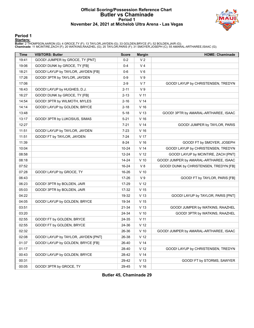#### **Official Scoring/Possession Reference Chart Butler vs Chaminade Period 1 November 24, 2021 at Michelob Ultra Arena - Las Vegas**



#### **Period 1**

#### **Starters:**

**Butler**: 2 THOMPSON,AARON (G); 4 GROCE,TY (F); 13 TAYLOR,JAYDEN (G); 33 GOLDEN,BRYCE (F); 52 BOLDEN,JAIR (G);<br>**Chaminade**: 11 MCINTIRE,ZACH (F); 20 WATKINS,RAAZHEL (G); 25 TAYLOR,PARIS (F); 31 SMOYER,JOSEPH (C); 55 AMARAL

| Time  | <b>VISITORS: Butler</b>             | <b>Score</b> | <b>Margin</b>   | <b>HOME: Chaminade</b>                 |
|-------|-------------------------------------|--------------|-----------------|----------------------------------------|
| 19:41 | GOOD! JUMPER by GROCE, TY [PNT]     | $0 - 2$      | V <sub>2</sub>  |                                        |
| 19:06 | GOOD! DUNK by GROCE, TY [FB]        | 0-4          | V <sub>4</sub>  |                                        |
| 18:21 | GOOD! LAYUP by TAYLOR, JAYDEN [FB]  | $0-6$        | $V_6$           |                                        |
| 17:26 | GOOD! 3PTR by TAYLOR, JAYDEN        | $0-9$        | V <sub>9</sub>  |                                        |
| 17:06 |                                     | $2 - 9$      | V <sub>7</sub>  | GOOD! LAYUP by CHRISTENSEN, TREDYN     |
| 16:43 | GOOD! LAYUP by HUGHES, D.J.         | $2 - 11$     | V <sub>9</sub>  |                                        |
| 16:27 | GOOD! DUNK by GROCE, TY [FB]        | $2 - 13$     | V <sub>11</sub> |                                        |
| 14:54 | GOOD! 3PTR by WILMOTH, MYLES        | $2 - 16$     | V <sub>14</sub> |                                        |
| 14:14 | GOOD! LAYUP by GOLDEN, BRYCE        | $2 - 18$     | $V$ 16          |                                        |
| 13:48 |                                     | $5 - 18$     | V <sub>13</sub> | GOOD! 3PTR by AMARAL-ARTHAREE, ISAAC   |
| 13:17 | GOOD! 3PTR by LUKOSIUS, SIMAS       | $5 - 21$     | V <sub>16</sub> |                                        |
| 12:27 |                                     | $7-21$       | V <sub>14</sub> | GOOD! JUMPER by TAYLOR, PARIS          |
| 11:51 | GOOD! LAYUP by TAYLOR, JAYDEN       | $7 - 23$     | V <sub>16</sub> |                                        |
| 11:51 | GOOD! FT by TAYLOR, JAYDEN          | $7 - 24$     | V <sub>17</sub> |                                        |
| 11:39 |                                     | $8 - 24$     | V <sub>16</sub> | GOOD! FT by SMOYER, JOSEPH             |
| 10:04 |                                     | 10-24        | V <sub>14</sub> | GOOD! LAYUP by CHRISTENSEN, TREDYN     |
| 08:58 |                                     | $12 - 24$    | V <sub>12</sub> | GOOD! LAYUP by MCINTIRE, ZACH [PNT]    |
| 08:18 |                                     | 14-24        | $V$ 10          | GOOD! JUMPER by AMARAL-ARTHAREE, ISAAC |
| 07:52 |                                     | 16-24        | V8              | GOOD! DUNK by CHRISTENSEN, TREDYN [FB] |
| 07:28 | GOOD! LAYUP by GROCE, TY            | 16-26        | $V$ 10          |                                        |
| 06:43 |                                     | 17-26        | V <sub>9</sub>  | GOOD! FT by TAYLOR, PARIS [FB]         |
| 06:23 | GOOD! 3PTR by BOLDEN, JAIR          | 17-29        | V <sub>12</sub> |                                        |
| 05:03 | GOOD! 3PTR by BOLDEN, JAIR          | 17-32        | V <sub>15</sub> |                                        |
| 04:22 |                                     | 19-32        | V <sub>13</sub> | GOOD! LAYUP by TAYLOR, PARIS [PNT]     |
| 04:05 | GOOD! LAYUP by GOLDEN, BRYCE        | 19-34        | V <sub>15</sub> |                                        |
| 03:51 |                                     | 21-34        | V <sub>13</sub> | GOOD! JUMPER by WATKINS, RAAZHEL       |
| 03:20 |                                     | 24-34        | $V$ 10          | GOOD! 3PTR by WATKINS, RAAZHEL         |
| 02:55 | GOOD! FT by GOLDEN, BRYCE           | 24-35        | V <sub>11</sub> |                                        |
| 02:55 | GOOD! FT by GOLDEN, BRYCE           | 24-36        | V <sub>12</sub> |                                        |
| 02:32 |                                     | 26-36        | $V$ 10          | GOOD! JUMPER by AMARAL-ARTHAREE, ISAAC |
| 02:08 | GOOD! LAYUP by TAYLOR, JAYDEN [PNT] | 26-38        | V <sub>12</sub> |                                        |
| 01:37 | GOOD! LAYUP by GOLDEN, BRYCE [FB]   | 26-40        | V <sub>14</sub> |                                        |
| 01:17 |                                     | 28-40        | V <sub>12</sub> | GOOD! LAYUP by CHRISTENSEN, TREDYN     |
| 00:43 | GOOD! LAYUP by GOLDEN, BRYCE        | 28-42        | V <sub>14</sub> |                                        |
| 00:31 |                                     | 29-42        | V <sub>13</sub> | GOOD! FT by STORMS, SAWYER             |
| 00:05 | GOOD! 3PTR by GROCE, TY             | 29-45        | V <sub>16</sub> |                                        |

**Butler 45, Chaminade 29**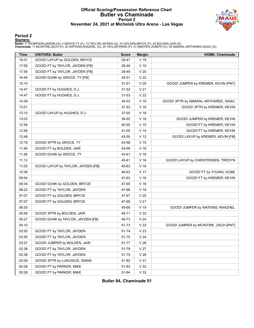#### **Official Scoring/Possession Reference Chart Butler vs Chaminade Period 2 November 24, 2021 at Michelob Ultra Arena - Las Vegas**



#### **Period 2**

#### **Starters:**

**Butler**: 2 THOMPSON,AARON (G); 4 GROCE,TY (F); 13 TAYLOR,JAYDEN (G); 33 GOLDEN,BRYCE (F); 52 BOLDEN,JAIR (G);<br>**Chaminade**: 11 MCINTIRE,ZACH (F); 20 WATKINS,RAAZHEL (G); 25 TAYLOR,PARIS (F); 31 SMOYER,JOSEPH (C); 55 AMARAL

| <b>Time</b> | <b>VISITORS: Butler</b>            | <b>Score</b> | <b>Margin</b>   | <b>HOME: Chaminade</b>               |
|-------------|------------------------------------|--------------|-----------------|--------------------------------------|
| 18:31       | GOOD! LAYUP by GOLDEN, BRYCE       | 29-47        | V <sub>18</sub> |                                      |
| 17:55       | GOOD! FT by TAYLOR, JAYDEN [FB]    | 29-48        | V 19            |                                      |
| 17:55       | GOOD! FT by TAYLOR, JAYDEN [FB]    | 29-49        | V <sub>20</sub> |                                      |
| 16:49       | GOOD! DUNK by GROCE, TY [FB]       | 29-51        | V <sub>22</sub> |                                      |
| 15:10       |                                    | $31 - 51$    | V <sub>20</sub> | GOOD! JUMPER by KREMER, KEVIN [PNT]  |
| 14:47       | GOOD! FT by HUGHES, D.J.           | $31 - 52$    | V <sub>21</sub> |                                      |
| 14:47       | GOOD! FT by HUGHES, D.J.           | $31 - 53$    | V <sub>22</sub> |                                      |
| 14:39       |                                    | 34-53        | V 19            | GOOD! 3PTR by AMARAL-ARTHAREE, ISAAC |
| 13:51       |                                    | 37-53        | $V$ 16          | GOOD! 3PTR by KREMER, KEVIN          |
| 13:15       | GOOD! LAYUP by HUGHES, D.J.        | 37-55        | V <sub>18</sub> |                                      |
| 13:03       |                                    | 39-55        | V <sub>16</sub> | GOOD! JUMPER by KREMER, KEVIN        |
| 12:56       |                                    | 40-55        | V <sub>15</sub> | GOOD! FT by KREMER, KEVIN            |
| 12:56       |                                    | 41-55        | V <sub>14</sub> | GOOD! FT by KREMER, KEVIN            |
| 12:48       |                                    | 43-55        | V <sub>12</sub> | GOOD! LAYUP by KREMER, KEVIN [FB]    |
| 12:18       | GOOD! 3PTR by GROCE, TY            | 43-58        | V <sub>15</sub> |                                      |
| 11:46       | GOOD! FT by BOLDEN, JAIR           | 43-59        | V <sub>16</sub> |                                      |
| 11:26       | GOOD! DUNK by GROCE, TY            | 43-61        | V <sub>18</sub> |                                      |
| 11:13       |                                    | 45-61        | V <sub>16</sub> | GOOD! LAYUP by CHRISTENSEN, TREDYN   |
| 11:00       | GOOD! LAYUP by TAYLOR, JAYDEN [FB] | 45-63        | V <sub>18</sub> |                                      |
| 10:38       |                                    | 46-63        | V <sub>17</sub> | GOOD! FT by YOUNG, KOBE              |
| 09:54       |                                    | 47-63        | $V$ 16          | GOOD! FT by KREMER, KEVIN            |
| 09:34       | GOOD! DUNK by GOLDEN, BRYCE        | 47-65        | V <sub>18</sub> |                                      |
| 08:22       | GOOD! FT by TAYLOR, JAYDEN         | 47-66        | V 19            |                                      |
| 07:07       | GOOD! FT by GOLDEN, BRYCE          | 47-67        | V <sub>20</sub> |                                      |
| 07:07       | GOOD! FT by GOLDEN, BRYCE          | 47-68        | V <sub>21</sub> |                                      |
| 06:20       |                                    | 49-68        | V 19            | GOOD! JUMPER by WATKINS, RAAZHEL     |
| 05:59       | GOOD! 3PTR by BOLDEN, JAIR         | 49-71        | V <sub>22</sub> |                                      |
| 05:27       | GOOD! DUNK by TAYLOR, JAYDEN [FB]  | 49-73        | V <sub>24</sub> |                                      |
| 05:10       |                                    | 51-73        | V <sub>22</sub> | GOOD! JUMPER by MCINTIRE, ZACH [PNT] |
| 03:50       | GOOD! FT by TAYLOR, JAYDEN         | 51-74        | V <sub>23</sub> |                                      |
| 03:50       | GOOD! FT by TAYLOR, JAYDEN         | 51-75        | V <sub>24</sub> |                                      |
| 03:27       | GOOD! JUMPER by BOLDEN, JAIR       | 51-77        | V <sub>26</sub> |                                      |
| 02:38       | GOOD! FT by TAYLOR, JAYDEN         | 51-78        | V <sub>27</sub> |                                      |
| 02:38       | GOOD! FT by TAYLOR, JAYDEN         | 51-79        | V <sub>28</sub> |                                      |
| 02:09       | GOOD! 3PTR by LUKOSIUS, SIMAS      | 51-82        | V <sub>31</sub> |                                      |
| 00:28       | GOOD! FT by PARKER, MIKE           | 51-83        | V <sub>32</sub> |                                      |
| 00:28       | GOOD! FT by PARKER, MIKE           | 51-84        | V <sub>33</sub> |                                      |

**Butler 84, Chaminade 51**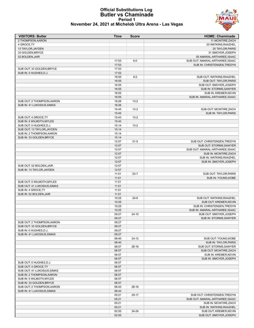#### **Official Substitutions Log Butler vs Chaminade Period 1 November 24, 2021 at Michelob Ultra Arena - Las Vegas**

| <b>VISITORS: Butler</b>     | <b>Time</b>    | <b>Score</b> | <b>HOME: Chaminade</b>                              |
|-----------------------------|----------------|--------------|-----------------------------------------------------|
| 2 THOMPSON, AARON           |                |              | 11 MCINTIRE, ZACH                                   |
| 4 GROCE, TY                 |                |              | 20 WATKINS, RAAZHEL                                 |
| 13 TAYLOR, JAYDEN           |                |              | 25 TAYLOR, PARIS                                    |
| 33 GOLDEN, BRYCE            |                |              | 31 SMOYER, JOSEPH                                   |
| 52 BOLDEN, JAIR             |                |              | 55 AMARAL-ARTHAREE, ISAAC                           |
|                             | 17:53          | $6-0$        | SUB OUT: AMARAL-ARTHAREE, ISAAC                     |
|                             | 17:53          |              | SUB IN: CHRISTENSEN, TREDYN                         |
| SUB OUT: 33 GOLDEN, BRYCE   | 17:53          |              |                                                     |
| SUB IN: 0 HUGHES, D.J.      | 17:53          |              |                                                     |
|                             | 16:55          | $9-2$        | SUB OUT: WATKINS, RAAZHEL<br>SUB OUT: TAYLOR, PARIS |
|                             | 16:55<br>16:55 |              | SUB OUT: SMOYER, JOSEPH                             |
|                             | 16:55          |              | SUB IN: STORMS, SAWYER                              |
|                             | 16:55          |              | SUB IN: KREMER, KEVIN                               |
|                             | 16:55          |              | SUB IN: AMARAL-ARTHAREE, ISAAC                      |
| SUB OUT: 2 THOMPSON, AARON  | 16:26          | $13 - 2$     |                                                     |
| SUB IN: 41 LUKOSIUS, SIMAS  | 16:26          |              |                                                     |
|                             | 15:45          | $13 - 2$     | SUB OUT: MCINTIRE, ZACH                             |
|                             | 15:45          |              | SUB IN: TAYLOR, PARIS                               |
| SUB OUT: 4 GROCE, TY        | 15:43          | $13 - 2$     |                                                     |
| SUB IN: 5 WILMOTH, MYLES    | 15:43          |              |                                                     |
| SUB OUT: 0 HUGHES, D.J.     | 15:14          | $13 - 2$     |                                                     |
| SUB OUT: 13 TAYLOR, JAYDEN  | 15:14          |              |                                                     |
| SUB IN: 2 THOMPSON.AARON    | 15:14          |              |                                                     |
| SUB IN: 33 GOLDEN, BRYCE    | 15:14          |              |                                                     |
|                             | 12:57          | $21 - 5$     | SUB OUT: CHRISTENSEN, TREDYN                        |
|                             | 12:57          |              | SUB OUT: STORMS, SAWYER                             |
|                             | 12:57          |              | SUB OUT: AMARAL-ARTHAREE, ISAAC                     |
|                             | 12:57          |              | SUB IN: MCINTIRE, ZACH                              |
|                             | 12:57          |              | SUB IN: WATKINS, RAAZHEL                            |
|                             | 12:57          |              | SUB IN: SMOYER, JOSEPH                              |
| SUB OUT: 52 BOLDEN, JAIR    | 12:57          |              |                                                     |
| SUB IN: 13 TAYLOR, JAYDEN   | 12:57          |              |                                                     |
|                             | 11:51          | $23 - 7$     | SUB OUT: TAYLOR, PARIS                              |
|                             | 11:51          |              | SUB IN: YOUNG, KOBE                                 |
| SUB OUT: 5 WILMOTH, MYLES   | 11:51          |              |                                                     |
| SUB OUT: 41 LUKOSIUS, SIMAS | 11:51          |              |                                                     |
| SUB IN: 4 GROCE, TY         | 11:51          |              |                                                     |
| SUB IN: 52 BOLDEN, JAIR     | 11:51<br>10:25 | $24 - 8$     |                                                     |
|                             | 10:25          |              | SUB OUT: WATKINS, RAAZHEL<br>SUB OUT: KREMER, KEVIN |
|                             | 10:25          |              | SUB IN: CHRISTENSEN, TREDYN                         |
|                             | 10:25          |              | SUB IN: AMARAL-ARTHAREE, ISAAC                      |
|                             | 09:27          | $24-10$      | SUB OUT: SMOYER, JOSEPH                             |
|                             | 09:27          |              | SUB IN: STORMS, SAWYER                              |
| SUB OUT: 2 THOMPSON, AARON  | 09:27          |              |                                                     |
| SUB OUT: 33 GOLDEN, BRYCE   | 09:27          |              |                                                     |
| SUB IN: 0 HUGHES, D.J.      | 09:27          |              |                                                     |
| SUB IN: 41 LUKOSIUS, SIMAS  | 09:27          |              |                                                     |
|                             | 08:40          | $24-12$      | SUB OUT: YOUNG, KOBE                                |
|                             | 08:40          |              | SUB IN: TAYLOR, PARIS                               |
|                             | 06:57          | $26-16$      | SUB OUT: STORMS, SAWYER                             |
|                             | 06:57          |              | SUB OUT: MCINTIRE, ZACH                             |
|                             | 06:57          |              | SUB IN: KREMER, KEVIN                               |
|                             | 06:57          |              | SUB IN: SMOYER, JOSEPH                              |
| SUB OUT: 0 HUGHES, D.J.     | 06:57          |              |                                                     |
| SUB OUT: 4 GROCE, TY        | 06:57          |              |                                                     |
| SUB OUT: 41 LUKOSIUS, SIMAS | 06:57          |              |                                                     |
| SUB IN: 2 THOMPSON, AARON   | 06:57          |              |                                                     |
| SUB IN: 5 WILMOTH, MYLES    | 06:57          |              |                                                     |
| SUB IN: 33 GOLDEN, BRYCE    | 06:57          |              |                                                     |
| SUB OUT: 2 THOMPSON, AARON  | 06:43          | $26-16$      |                                                     |
| SUB IN: 41 LUKOSIUS, SIMAS  | 06:43          |              |                                                     |
|                             | 05:21          | 29-17        | SUB OUT: CHRISTENSEN, TREDYN                        |
|                             | 05:21          |              | SUB OUT: AMARAL-ARTHAREE, ISAAC                     |
|                             | 05:21<br>05:21 |              | SUB IN: MCINTIRE, ZACH<br>SUB IN: WATKINS, RAAZHEL  |
|                             | 02:55          | 34-24        | SUB OUT: KREMER, KEVIN                              |
|                             | 02:55          |              | SUB OUT: SMOYER, JOSEPH                             |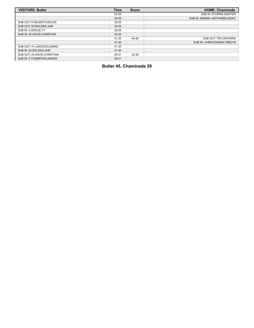| <b>VISITORS: Butler</b>      | <b>Time</b> | <b>Score</b> | <b>HOME: Chaminade</b>        |
|------------------------------|-------------|--------------|-------------------------------|
|                              | 02:55       |              | SUB IN: STORMS, SAWYER        |
|                              | 02:55       |              | SUB IN: AMARAL-ARTHAREE.ISAAC |
| SUB OUT: 5 WILMOTH.MYLES     | 02:55       |              |                               |
| SUB OUT: 52 BOLDEN, JAIR     | 02:55       |              |                               |
| SUB IN: 4 GROCE.TY           | 02:55       |              |                               |
| SUB IN: 25 DAVID CHRISTIAN   | 02:55       |              |                               |
|                              | 01:30       | 40-26        | SUB OUT: TAYLOR.PARIS         |
|                              | 01:30       |              | SUB IN: CHRISTENSEN.TREDYN    |
| SUB OUT: 41 LUKOSIUS, SIMAS  | 01:30       |              |                               |
| SUB IN: 52 BOLDEN.JAIR       | 01:30       |              |                               |
| SUB OUT: 25 DAVID, CHRISTIAN | 00:31       | 42-28        |                               |
| SUB IN: 2 THOMPSON, AARON    | 00:31       |              |                               |

**Butler 45, Chaminade 29**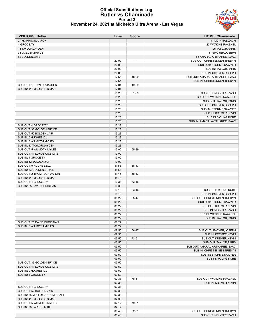

#### **Official Substitutions Log Butler vs Chaminade Period 2 November 24, 2021 at Michelob Ultra Arena - Las Vegas**

| <b>VISITORS: Butler</b>                               | Time           | <b>Score</b>             | <b>HOME: Chaminade</b>                             |
|-------------------------------------------------------|----------------|--------------------------|----------------------------------------------------|
| 2 THOMPSON, AARON                                     |                |                          | 11 MCINTIRE, ZACH                                  |
| 4 GROCE, TY                                           |                |                          | 20 WATKINS, RAAZHEL                                |
| 13 TAYLOR, JAYDEN                                     |                |                          | 25 TAYLOR, PARIS                                   |
| 33 GOLDEN, BRYCE                                      |                |                          | 31 SMOYER, JOSEPH                                  |
| 52 BOLDEN, JAIR                                       |                |                          | 55 AMARAL-ARTHAREE, ISAAC                          |
|                                                       | 20:00          | $\overline{\phantom{a}}$ | SUB OUT: CHRISTENSEN, TREDYN                       |
|                                                       | 20:00          |                          | SUB OUT: STORMS, SAWYER                            |
|                                                       | 20:00<br>20:00 |                          | SUB IN: TAYLOR, PARIS<br>SUB IN: SMOYER, JOSEPH    |
|                                                       | 17:55          | 48-29                    | SUB OUT: AMARAL-ARTHAREE, ISAAC                    |
|                                                       | 17:55          |                          | SUB IN: CHRISTENSEN, TREDYN                        |
| SUB OUT: 13 TAYLOR, JAYDEN                            | 17:01          | 49-29                    |                                                    |
| SUB IN: 41 LUKOSIUS, SIMAS                            | 17:01          |                          |                                                    |
|                                                       | 15:23          | 51-29                    | SUB OUT: MCINTIRE, ZACH                            |
|                                                       | 15:23          |                          | SUB OUT: WATKINS, RAAZHEL                          |
|                                                       | 15:23          |                          | SUB OUT: TAYLOR, PARIS                             |
|                                                       | 15:23          |                          | SUB OUT: SMOYER, JOSEPH                            |
|                                                       | 15:23          |                          | SUB IN: STORMS, SAWYER                             |
|                                                       | 15:23          |                          | SUB IN: KREMER, KEVIN                              |
|                                                       | 15:23          |                          | SUB IN: YOUNG, KOBE                                |
|                                                       | 15:23          |                          | SUB IN: AMARAL-ARTHAREE, ISAAC                     |
| SUB OUT: 4 GROCE, TY                                  | 15:23          |                          |                                                    |
| SUB OUT: 33 GOLDEN.BRYCE                              | 15:23          |                          |                                                    |
| SUB OUT: 52 BOLDEN, JAIR                              | 15:23          |                          |                                                    |
| SUB IN: 0 HUGHES, D.J.                                | 15:23          |                          |                                                    |
| SUB IN: 5 WILMOTH, MYLES<br>SUB IN: 13 TAYLOR, JAYDEN | 15:23<br>15:23 |                          |                                                    |
| SUB OUT: 5 WILMOTH, MYLES                             | 13:00          | 55-39                    |                                                    |
| SUB OUT: 41 LUKOSIUS, SIMAS                           | 13:00          |                          |                                                    |
| SUB IN: 4 GROCE, TY                                   | 13:00          |                          |                                                    |
| SUB IN: 52 BOLDEN, JAIR                               | 13:00          |                          |                                                    |
| SUB OUT: 0 HUGHES, D.J.                               | 11:53          | 58-43                    |                                                    |
| SUB IN: 33 GOLDEN, BRYCE                              | 11:53          |                          |                                                    |
| SUB OUT: 2 THOMPSON, AARON                            | 11:46          | 58-43                    |                                                    |
| SUB IN: 41 LUKOSIUS, SIMAS                            | 11:46          |                          |                                                    |
| SUB OUT: 4 GROCE, TY                                  | 10:38          | 63-46                    |                                                    |
| SUB IN: 25 DAVID CHRISTIAN                            | 10:38          |                          |                                                    |
|                                                       | 10:18          | 63-46                    | SUB OUT: YOUNG, KOBE                               |
|                                                       | 10:18          |                          | SUB IN: SMOYER, JOSEPH                             |
|                                                       | 08:22          | 65-47                    | SUB OUT: CHRISTENSEN, TREDYN                       |
|                                                       | 08:22          |                          | SUB OUT: STORMS, SAWYER                            |
|                                                       | 08:22<br>08:22 |                          | SUB OUT: KREMER, KEVIN<br>SUB IN: MCINTIRE, ZACH   |
|                                                       | 08:22          |                          | SUB IN: WATKINS, RAAZHEL                           |
|                                                       | 08:22          |                          | SUB IN: TAYLOR, PARIS                              |
| SUB OUT: 25 DAVID, CHRISTIAN                          | 08:22          |                          |                                                    |
| SUB IN: 5 WILMOTH, MYLES                              | 08:22          |                          |                                                    |
|                                                       | 07:50          | 66-47                    | SUB OUT: SMOYER, JOSEPH                            |
|                                                       | 07:50          |                          | SUB IN: KREMER, KEVIN                              |
|                                                       | 03:50          | 73-51                    | SUB OUT: KREMER, KEVIN                             |
|                                                       | 03:50          |                          | SUB OUT: TAYLOR, PARIS                             |
|                                                       | 03:50          |                          | SUB OUT: AMARAL-ARTHAREE, ISAAC                    |
|                                                       | 03:50          |                          | SUB IN: CHRISTENSEN, TREDYN                        |
|                                                       | 03:50          |                          | SUB IN: STORMS, SAWYER                             |
|                                                       | 03:50          |                          | SUB IN: YOUNG, KOBE                                |
| SUB OUT: 33 GOLDEN, BRYCE                             | 03:50          |                          |                                                    |
| SUB OUT: 41 LUKOSIUS, SIMAS                           | 03:50          |                          |                                                    |
| SUB IN: 0 HUGHES, D.J.                                | 03:50          |                          |                                                    |
| SUB IN: 4 GROCE, TY                                   | 03:50          |                          |                                                    |
|                                                       | 02:38<br>02:38 | 78-51                    | SUB OUT: WATKINS, RAAZHEL<br>SUB IN: KREMER, KEVIN |
| SUB OUT: 4 GROCE, TY                                  | 02:38          |                          |                                                    |
| SUB OUT: 52 BOLDEN, JAIR                              | 02:38          |                          |                                                    |
| SUB IN: 35 MULLOY, JOHN-MICHAEL                       | 02:38          |                          |                                                    |
| SUB IN: 41 LUKOSIUS, SIMAS                            | 02:38          |                          |                                                    |
| SUB OUT: 5 WILMOTH, MYLES                             | 02:17          | 79-51                    |                                                    |
| SUB IN: 30 PARKER, MIKE                               | 02:17          |                          |                                                    |
|                                                       | 00:48          | 82-51                    | SUB OUT: CHRISTENSEN, TREDYN                       |
|                                                       | 00:48          |                          | SUB OUT: MCINTIRE, ZACH                            |